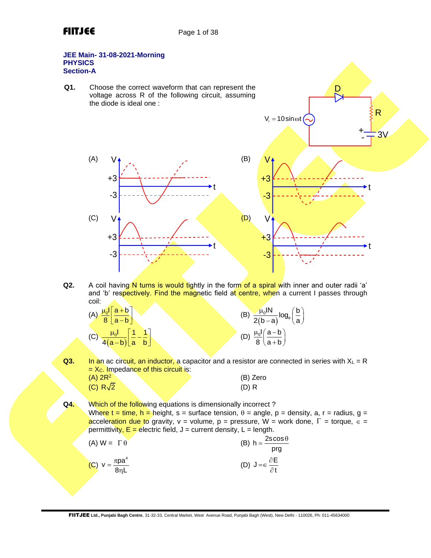### **JEE Main- 31-08-2021-Morning PHYSICS Section-A**

**Q1.** Choose the correct waveform that can represent the voltage across R of the following circuit, assuming the diode is ideal one :



D

R

**Q2.** A coil having N turns is would tightly in the form of a spiral with inner and outer radii 'a' and 'b' respectively. Find the magnetic field at centre, when a current I passes through coil:

| (A) $\frac{\mu_0 I}{8} \left[ \frac{a+b}{a-b} \right]$                | (B) $\frac{\mu_0 I N}{2(b-a)} log_e \left(\frac{b}{a}\right)$ |
|-----------------------------------------------------------------------|---------------------------------------------------------------|
| (C) $\frac{\mu_0 I}{4(a-b)} \left[ \frac{1}{a} - \frac{1}{b} \right]$ | (D) $\frac{\mu_0 I}{8} \left( \frac{a-b}{a+b} \right)$        |

**Q3.** In an ac circuit, an inductor, a capacitor and a resistor are connected in series with  $X_L = R$  $= X_c$ . Impedance of this circuit is:  $(A) 2R<sup>2</sup>$ (B) Zero  $(C) R\sqrt{2}$ (D) R

**Q4.** Which of the following equations is dimensionally incorrect ? Where  $t = time$ ,  $h =$  height,  $s =$  surface tension,  $\theta =$  angle,  $p =$  density,  $a, r =$  radius,  $g =$ acceleration due to gravity,  $v = v$ olume,  $p = press$ ure, W = work done,  $\Gamma = v$ torque,  $\epsilon =$ permittivity,  $E =$  electric field,  $J =$  current density,  $L =$  length.

| $(A)$ W = $\Gamma \theta$      | (B) $h = \frac{2s \cos \theta}{s}$               |
|--------------------------------|--------------------------------------------------|
|                                | pra                                              |
| (C) $v = \frac{\pi pa^4}{8nL}$ | (D) $J = \epsilon \frac{\partial E}{\partial t}$ |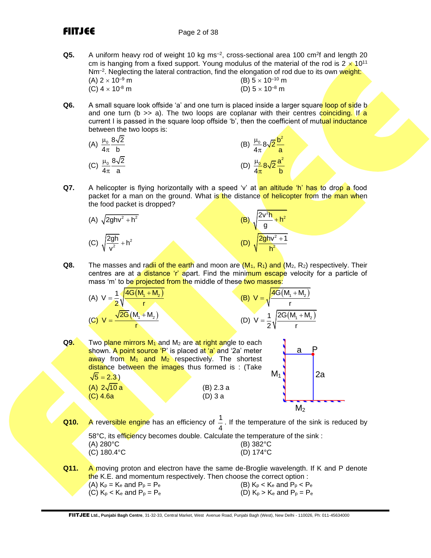## **FIITJEE** Page 2 of 38

**Q5.** A uniform heavy rod of weight 10 kg ms<sup>-2</sup>, cross-sectional area 100 cm<sup>2</sup>f and length 20 cm is hanging from a fixed support. Young modulus of the material of the rod is  $2 \times 10^{11}$ Nm<sup>-2</sup>. Neglecting the lateral contraction, find the elongation of rod due to its own weight:

| $(A)$ 2 $\times$ 10 <sup>-9</sup> m |  |
|-------------------------------------|--|
| (C) $4 \times 10^{-8}$ m            |  |

- (B)  $5 \times 10^{-10}$  m (D)  $5 \times 10^{-8}$  m
- **Q6.** A small square look offside 'a' and one turn is placed inside a larger square loop of side b and one turn ( $b \gg a$ ). The two loops are coplanar with their centres coinciding. If a current I is passed in the square loop offside 'b', then the coefficient of mutual inductance between the two loops is:

(A) 
$$
\frac{\mu_0}{4\pi} \frac{8\sqrt{2}}{b}
$$
  
\n(B)  $\frac{\mu_0}{4\pi} 8\sqrt{2} \frac{b^2}{a}$   
\n(C)  $\frac{\mu_0}{4\pi} \frac{8\sqrt{2}}{a}$   
\n(D)  $\frac{\mu_0}{4\pi} 8\sqrt{2} \frac{a^2}{b}$ 

**Q7.** A helicopter is flying horizontally with a speed 'v' at an altitude 'h' has to drop a food packet for a man on the ground. What is the distance of helicopter from the man when the food packet is dropped?

(A) 
$$
\sqrt{2ghv^2 + h^2}
$$
  
\n(B)  $\sqrt{\frac{2v^2h}{g} + h^2}$   
\n(C)  $\sqrt{\frac{2gh}{v^2} + h^2}$   
\n(D)  $\sqrt{\frac{2ghv^2 + 1}{h^2}}$ 

**Q8.** The masses and radii of the earth and moon are  $(M_1, R_1)$  and  $(M_2, R_2)$  respectively. Their centres are at a distance 'r' apart. Find the minimum escape velocity for a particle of mass 'm' to be projected from the middle of these two masses:

(A) 
$$
V = \frac{1}{2} \sqrt{\frac{4G(M_1 + M_2)}{r}}
$$
  
\n(B)  $V = \sqrt{\frac{4G(M_1 + M_2)}{r}}$   
\n(C)  $V = \frac{\sqrt{2G}(M_1 + M_2)}{r}$   
\n(D)  $V = \frac{1}{2} \sqrt{\frac{2G(M_1 + M_2)}{r}}$ 

|      |                                  |                                                                                                                                                                                                                                                       | $(0, 0)$ $-2$                   |         |    |
|------|----------------------------------|-------------------------------------------------------------------------------------------------------------------------------------------------------------------------------------------------------------------------------------------------------|---------------------------------|---------|----|
| Q9.  |                                  | Two plane mirrors $M_1$ and $M_2$ are at right angle to each<br>shown. A point source 'P' is placed at 'a' and '2a' meter<br>$\frac{1}{2}$ away from $M_1$ and $M_2$ respectively. The shortest<br>distance between the images thus formed is : (Take |                                 | a       |    |
|      | $\sqrt{5} = 2.3$ )               |                                                                                                                                                                                                                                                       | $M_1$                           |         | 2a |
|      | (A) $2\sqrt{10} a$<br>$(C)$ 4.6a | (B) 2.3 a<br>$(D)$ 3 a                                                                                                                                                                                                                                |                                 |         |    |
|      |                                  |                                                                                                                                                                                                                                                       |                                 | $M_{2}$ |    |
| Q10. |                                  | A reversible engine has an efficiency of $\frac{1}{4}$ . If the temperature of the sink is reduced by                                                                                                                                                 |                                 |         |    |
|      | $(A) 280$ °C<br>(C) 180.4°C      | 58°C, its efficiency becomes double. Calculate the temperature of the sink :                                                                                                                                                                          | (B) 382°C<br>(D) 174°C          |         |    |
| Q11. | (A) $K_p = K_e$ and $P_p = P_e$  | A moving proton and electron have the same de-Broglie wavelength. If K and P denote<br>the K.E. and momentum respectively. Then choose the correct option :                                                                                           | (B) $K_p < K_e$ and $P_p < P_e$ |         |    |

FIITJEE **Ltd., Punjabi Bagh Centre**, 31-32-33, Central Market, West Avenue Road, Punjabi Bagh (West), New Delhi - 110026, Ph: 011-45634000

(C)  $K_p < K_e$  and  $P_p = P_e$  (D)  $K_p > K_e$  and  $P_p = P_e$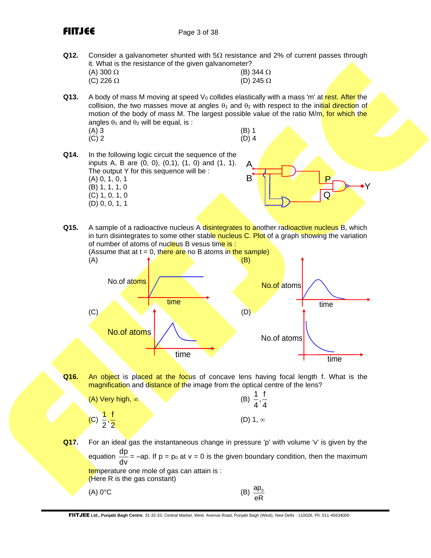FIITJEE Page 3 of 38

**Q12.** Consider a galvanometer shunted with  $5\Omega$  resistance and 2% of current passes through it. What is the resistance of the given galvanometer?

| (A) 300 $\Omega$ |  | (B) 344 $\Omega$ |
|------------------|--|------------------|
| (C) 226 $\Omega$ |  | (D) 245 $\Omega$ |

- **Q13.** A body of mass M moving at speed  $V_0$  collides elastically with a mass 'm' at rest. After the collision, the two masses move at angles  $\theta_1$  and  $\theta_2$  with respect to the initial direction of motion of the body of mass M. The largest possible value of the ratio M/m, for which the angles  $\theta_1$  and  $\theta_2$  will be equal, is :
	- $(A) 3$  (B) 1  $(C) 2$  (D) 4

Y

 $\mathsf Q$ 

P

- **Q14.** In the following logic circuit the sequence of the inputs A, B are (0, 0), (0,1), (1, 0) and (1, 1). The output Y for this sequence will be : (A) 0, 1, 0, 1 (B) 1, 1, 1, 0 (C) 1, 0, 1, 0 (D) 0, 0, 1, 1 A B
- **Q15.** A sample of a radioactive nucleus A disintegrates to another radioactive nucleus B, which in turn disintegrates to some other stable nucleus C. Plot of a graph showing the variation of number of atoms of nucleus B vesus time is : (Assume that at  $t = 0$ , there are no B atoms in the sample) (A)  $(B)$



**Q16.** An object is placed at the focus of concave lens having focal length f. What is the magnification and distance of the image from the optical centre of the lens?

| $(A)$ Very high, $\infty$        | (B) $\frac{1}{4}, \frac{1}{4}$ |
|----------------------------------|--------------------------------|
| $(C)$ $\frac{1}{2}, \frac{1}{2}$ | $(D)$ 1, $\infty$              |

**Q17.** For an ideal gas the instantaneous change in pressure 'p' with volume 'v' is given by the equation <sup>dp</sup>  $\frac{dP}{dr}$  = -ap. If p = p<sub>0</sub> at v = 0 is the given boundary condition, then the maximum dv temperature one mole of gas can attain is : (Here R is the gas constant)  $(A) 0$ °C  $ap<sub>0</sub>$ 

eR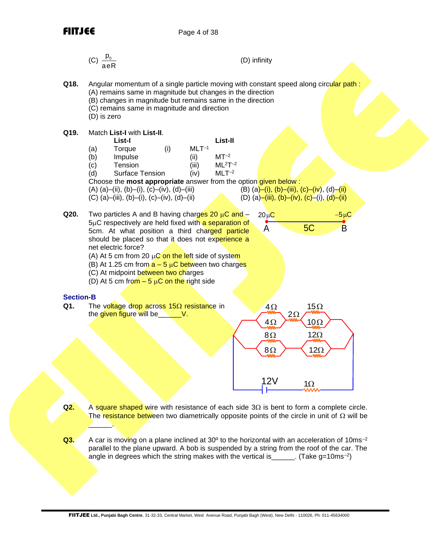

 $\overline{\phantom{a}}$ 

p0 (C) (D) infinity aeR **Q18.** Angular momentum of a single particle moving with constant speed along circular path : (A) remains same in magnitude but changes in the direction (B) changes in magnitude but remains same in the direction (C) remains same in magnitude and direction (D) is zero **Q19.** Match **List-I** with **List-II**. **List-I List-II**  (a) Torque (i) MLT–1 (b) Impulse (ii) MT–2 (c) Tension (iii) ML<sup>2</sup>T–2 (d) Surface Tension (iv) MLT–2 Choose the **most appropriate** answer from the option given below : (A) (a)–(ii), (b)–(i), (c)–(iv), (d)–(iii) (B) (a)–(i), (b)–(iii), (c)–(iv), (d)–(ii) (C) (a)–(iii), (b)–(i), (c)–(iv), (d)–(ii) (D) (a)–(iii), (b)–(iv), (c)–(i), (d)–(ii) **Q20.** Two particles A and B having charges 20 C and – 20 C − 5 C 5C respectively are held fixed with a separation of 5C A B 5cm. At what position a third charged particle should be placed so that it does not experience a net electric force? (A) At 5 cm from 20 C on the left side of system (B) At 1.25 cm from a – 5 C between two charges (C) At midpoint between two charges (D) At 5 cm from – 5 C on the right side **Section-B Q1.** The voltage drop across 15 resistance in 4 15 2 the given figure will be\_\_\_\_\_\_V. 4 10 8 12 8 12 12V 1 

- **Q2.** A square shaped wire with resistance of each side  $3\Omega$  is bent to form a complete circle. The resistance between two diametrically opposite points of the circle in unit of  $\Omega$  will be
- **Q3.** A car is moving on a plane inclined at 30<sup>o</sup> to the horizontal with an acceleration of 10ms<sup>-2</sup> parallel to the plane upward. A bob is suspended by a string from the roof of the car. The angle in degrees which the string makes with the vertical is \_\_\_\_\_\_. (Take g=10ms<sup>-2</sup>)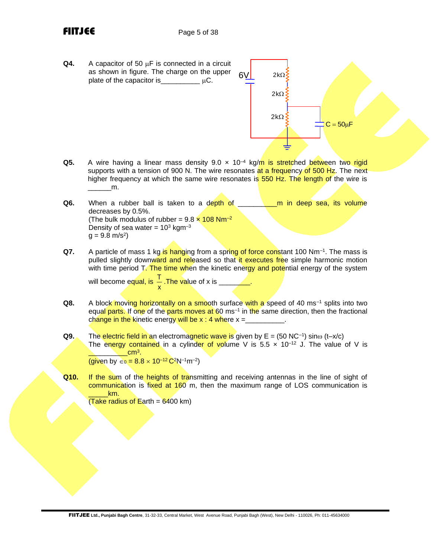- **Q4.** A capacitor of 50  $\mu$ F is connected in a circuit as shown in figure. The charge on the upper plate of the capacitor is  $\mu C$ .  $2k\Omega$  $2k\Omega$  $6V$
- **Q5.** A wire having a linear mass density 9.0 x 10<sup>-4</sup> kg/m is stretched between two rigid supports with a tension of 900 N. The wire resonates at a frequency of 500 Hz. The next higher frequency at which the same wire resonates is 550 Hz. The length of the wire is  $\mathsf{m}$ .

 $2k\Omega$ 

 $C = 50 \mu F$ 

- **Q6.** When a rubber ball is taken to a depth of **the and in the deep sea, its volume** decreases by 0.5%. (The bulk modulus of rubber =  $9.8 \times 108$  Nm<sup>-2</sup> Density of sea water =  $10^3$  kgm<sup>-3</sup>  $g = 9.8 \text{ m/s}^2$
- **Q7.** A particle of mass 1 kg is hanging from a spring of force constant 100 Nm<sup>-1</sup>. The mass is pulled slightly downward and released so that it executes free simple harmonic motion with time period T. The time when the kinetic energy and potential energy of the system

will become equal, is  $\frac{1}{x}$  $\frac{1}{x}$  .The value of x is \_\_\_\_\_\_\_\_.<br>x

- **Q8.** A block moving horizontally on a smooth surface with a speed of 40 ms<sup>-1</sup> splits into two equal parts. If one of the parts moves at 60 ms<sup>-1</sup> in the same direction, then the fractional change in the kinetic energy will be  $x : 4$  where  $x =$
- **Q9.** The electric field in an electromagnetic wave is given by E = (50 NC<sup>-1</sup>) sinω (t-x/c) The energy contained in a cylinder of volume V is  $5.5 \times 10^{-12}$  J. The value of V is \_\_\_\_\_\_\_\_\_\_cm<sup>3</sup> . (given by ∈<sub>0</sub> =  $8.8 \times 10^{-12}$  C<sup>2</sup>N<sup>-1</sup>m<sup>-2</sup>)
- **Q10.** If the sum of the heights of transmitting and receiving antennas in the line of sight of communication is fixed at 160 m, then the maximum range of LOS communication is \_\_\_\_\_km.

(Take radius of Earth =  $6400$  km)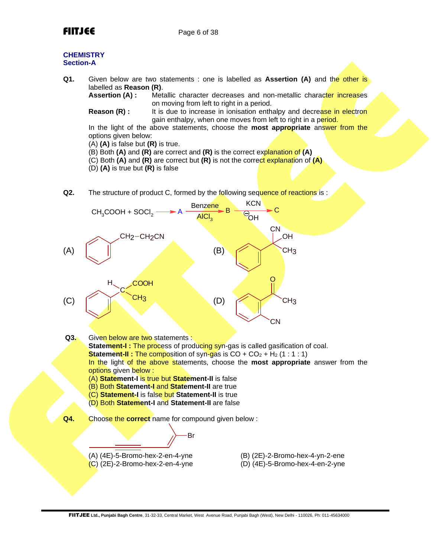

### **CHEMISTRY Section-A**

**Q1.** Given below are two statements : one is labelled as **Assertion (A)** and the other is labelled as **Reason (R)**.

**Assertion (A) :** Metallic character decreases and non-metallic character increases on moving from left to right in a period.

**Reason (R) :** It is due to increase in ionisation enthalpy and decrease in electron gain enthalpy, when one moves from left to right in a period.

In the light of the above statements, choose the **most appropriate** answer from the options given below:

(A) **(A)** is false but **(R)** is true.

(B) Both **(A)** and **(R)** are correct and **(R)** is the correct explanation of **(A)** 

(C) Both **(A)** and **(R)** are correct but **(R)** is not the correct explanation of **(A)**

(D) **(A)** is true but **(R)** is false

**Q2.** The structure of product C, formed by the following sequence of reactions is:



- (B) Both **Statement-I** and **Statement-II** are true
- (C) **Statement-I** is false but **Statement-II** is true
- (D) Both **Statement-I** and **Statement-II** are false
- **Q4.** Choose the **correct** name for compound given below :

Br

 $(C)$  (2E)-2-Bromo-hex-2-en-4-yne  $(D)$  (4E)-5-Bromo-hex-4-en-2-yne

(A) (4E)-5-Bromo-hex-2-en-4-yne (B) (2E)-2-Bromo-hex-4-yn-2-ene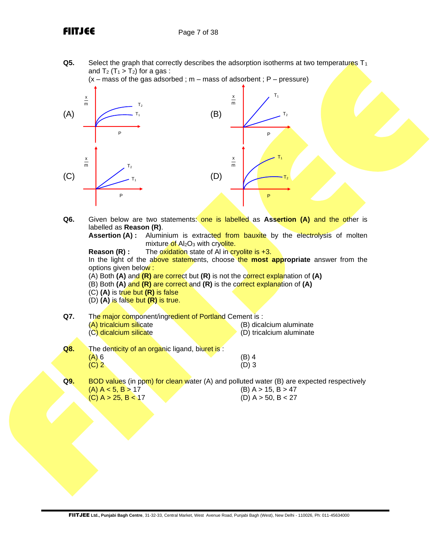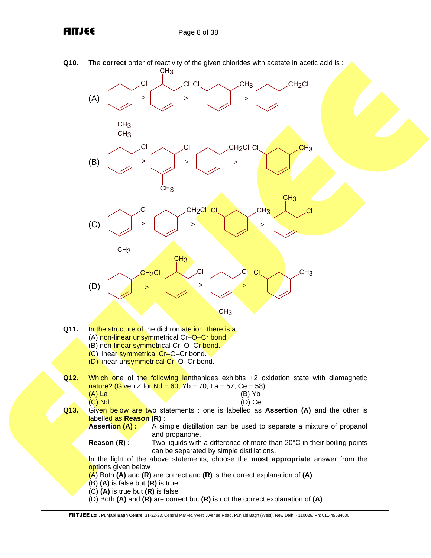## FIITJEE Page 8 of 38

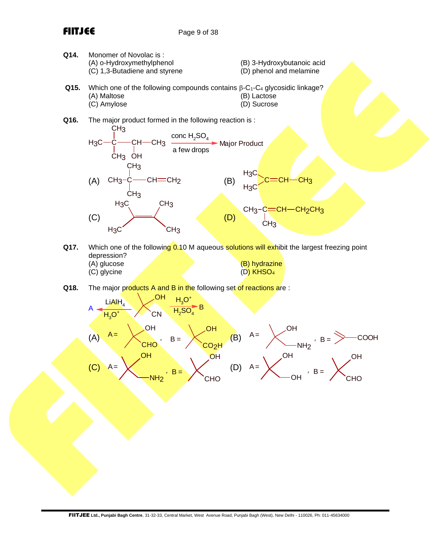

- **Q17.** Which one of the following 0.10 M aqueous solutions will exhibit the largest freezing point depression? (A) glucose (B) hydrazine (C) glycine (D) KHSO<sup>4</sup>
- **Q18.** The major products A and B in the following set of reactions are :

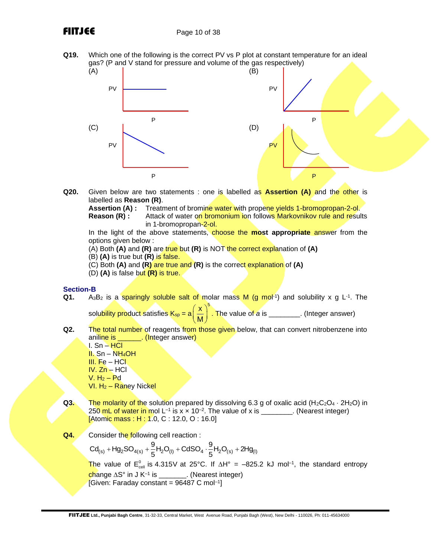**Q19.** Which one of the following is the correct PV vs P plot at constant temperature for an ideal gas? (P and V stand for pressure and volume of the gas respectively)



**Q20.** Given below are two statements : one is labelled as **Assertion (A)** and the other is labelled as **Reason (R)**.

**Assertion (A) :** Treatment of bromine water with propene yields 1-bromopropan-2-ol.<br>**Reason (R) :** Attack of water on bromonium ion follows Markoynikoy rule and result Attack of water on bromonium ion follows Markovnikov rule and results

in 1-bromopropan-2-ol.

In the light of the above statements, choose the **most appropriate** answer from the options given below :

(A) Both **(A)** and **(R)** are true but **(R)** is NOT the correct explanation of **(A)**

(B) **(A)** is true but **(R)** is false.

(C) Both **(A)** and **(R)** are true and **(R)** is the correct explanation of **(A)**

(D) **(A)** is false but **(R)** is true.

### **Section-B**

**Q1.** A<sub>3</sub>B<sub>2</sub> is a sparingly soluble salt of molar mass M (g mol<sup>-1</sup>) and solubility x g L<sup>-1</sup>. The

solubility product satisfies K<sub>sp</sub> = a  $\mathsf{x}\ \big)^5$  $\left(\frac{\mathsf{x}}{\mathsf{M}}\right)^{\sim}$ . The value of *a* is \_\_\_\_\_\_\_\_. (Integer answer)

**Q2.** The total number of reagents from those given below, that can convert nitrobenzene into aniline is **...** (Integer answer)

I. Sn – HCl II. Sn – NH<sub>4</sub>OH III. Fe – HCl IV. Zn – HCl  $V. H<sub>2</sub> - Pd$  $VI. H<sub>2</sub> - Range$  Nickel

- **Q3.** The molarity of the solution prepared by dissolving 6.3 g of oxalic acid (H<sub>2</sub>C<sub>2</sub>O<sub>4</sub>  $\cdot$  2H<sub>2</sub>O) in 250 mL of water in mol L<sup>-1</sup> is x × 10<sup>-2</sup>. The value of x is \_\_\_\_\_\_\_\_. (Nearest integer) [Atomic mass : H : 1.0, C : 12.0, O : 16.0]
- **Q4.** Consider the following cell reaction :

Consider the following cell reaction :<br>Cd<sub>(s)</sub> + Hg<sub>2</sub>SO<sub>4(s)</sub> +  $\frac{9}{5}$ H<sub>2</sub>O<sub>(l)</sub> + CdSO<sub>4</sub> ·  $\frac{9}{5}$ H<sub>2</sub>O<sub>(s)</sub> + 2Hg<sub>(l)</sub> der the following cell reaction :<br>+  $Hg_2SO_{4(s)} + \frac{9}{5}H_2O_{(l)} + CdSO_4 \cdot \frac{9}{5}H_2O_{(s)} + 2Hg_{(l)}$ The value of  $E_{cell}^0$  is 4.315V at 25°C. If  $\Delta H^{\circ} = -825.2$  kJ mol<sup>-1</sup>, the standard entropy <mark>ch</mark>ange ∆S° in J K<sup>–1</sup> is \_\_\_\_\_\_\_\_. (Nearest integer)

 $[Given: Faraday constant = 96487 C mol<sup>-1</sup>]$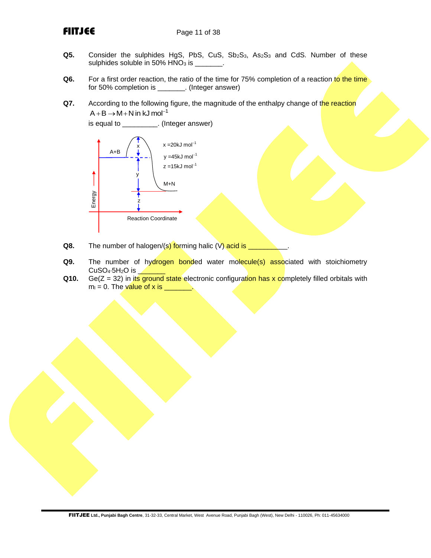- **Q5.** Consider the sulphides HgS, PbS, CuS, Sb<sub>2</sub>S<sub>3</sub>, As<sub>2</sub>S<sub>3</sub> and CdS. Number of these sulphides soluble in 50% HNO<sub>3</sub> is sulphides soluble in  $50\%$  HNO<sub>3</sub> is \_\_\_\_
- **Q6.** For a first order reaction, the ratio of the time for 75% completion of a reaction to the time for 50% completion is \_\_\_\_\_\_\_. (Integer answer)
- **Q7.** According to the following figure, the magnitude of the enthalpy change of the reaction  $A + B \rightarrow M + N$  in kJ mol<sup>-1</sup>



- **Q8.** The number of halogen/(s) forming halic (V) acid is \_
- **Q9.** The number of hydrogen bonded water molecule(s) associated with stoichiometry  $CuSO<sub>4</sub>·5H<sub>2</sub>O$  is
- **Q10.** Ge(Z = 32) in its ground state electronic configuration has x completely filled orbitals with  $m_l = 0$ . The value of x is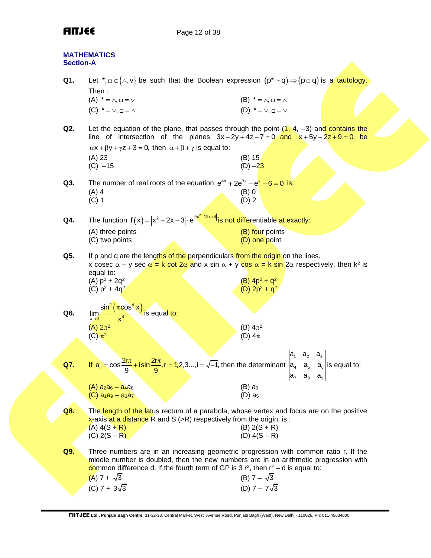## **FIITJEE** Page 12 of 38

| <b>Section-A</b> | <b>MATHEMATICS</b>                                                                                                                                                                                                                                                                                     |                                                                      |
|------------------|--------------------------------------------------------------------------------------------------------------------------------------------------------------------------------------------------------------------------------------------------------------------------------------------------------|----------------------------------------------------------------------|
| Q1.              | Let *, $\Box \in \{\land, \lor\}$ be such that the Boolean expression $(p^* \sim q) \Longrightarrow (p \Box q)$ is a tautology.<br>Then:<br>$(A) * = \wedge, \square = \vee$<br>$(C) * = \vee, \square = \wedge$                                                                                       | $(B) * = \wedge, \square = \wedge$<br>$(D) * = \vee, \square = \vee$ |
| Q2.              | Let the equation of the plane, that passes through the point $(1, 4, -3)$ and contains the<br>line of intersection of the planes $3x - 2y + 4z - 7 = 0$ and $x + 5y - 2z + 9 = 0$ , be<br>$\alpha x + \beta y + \gamma z + 3 = 0$ , then $\alpha + \beta + \gamma$ is equal to:<br>(A) 23<br>$(C) -15$ | (B) 15<br>$(D) -23$                                                  |
| Q3.              | The number of real roots of the equation $e^{4x} + 2e^{3x} - e^{x} - 6 = 0$ is:<br>$(A)$ 4<br>$(C)$ 1                                                                                                                                                                                                  | $(B)$ 0<br>$(D)$ 2                                                   |
| Q4.              | The function $f(x) =  x^2 - 2x - 3  \cdot e^{ 9x^2 - 12x + 4 }$ is not differentiable at exactly:<br>(A) three points<br>(C) two points                                                                                                                                                                | (B) four points<br>(D) one point                                     |
| Q5.              | If p and q are the lengths of the perpendiculars from the origin on the lines.<br>x cosec $\alpha$ – y sec $\alpha$ = k cot 2 $\alpha$ and x sin $\alpha$ + y cos $\alpha$ = k sin 2 $\alpha$ respectively, then k <sup>2</sup> is<br>equal to:<br>(A) $p^2 + 2q^2$<br>(C) $p^2 + 4q^2$                | (B) $4p^2 + q^2$<br>(D) $2p^2 + q^2$                                 |
| Q6.              | $\frac{\sin^2(\pi \cos^4 x)}{4}$ is equal to:<br>lim.<br>$x \rightarrow 0$<br>(A) $2\pi^2$<br>$(C)$ $\pi^2$                                                                                                                                                                                            | (B) $4\pi^2$<br>(D) $4\pi$                                           |
| Q7.              | If $a_r = \cos \frac{2r\pi}{9} + i\sin \frac{2r\pi}{9}$ , $r = 1, 2, 3$ , $i = \sqrt{-1}$ , then the determinant $\begin{vmatrix} a_1 & a_2 & a_3 \\ a_4 & a_5 & a_6 \end{vmatrix}$ is equal to:<br>$(A)$ a <sub>2</sub> a <sub>6</sub> - a <sub>4</sub> a <sub>8</sub>                                | $ a_7 \ a_8 \ a_9 $<br>$(B)$ a <sub>9</sub>                          |
|                  | (C) a <sub>1</sub> a <sub>9</sub> – a <sub>3</sub> a <sub>7</sub>                                                                                                                                                                                                                                      | $(D)$ as                                                             |
| Q8.              | The length of the latus rectum of a parabola, whose vertex and focus are on the positive<br>$x$ -axis at a distance R and S ( $>R$ ) respectively from the origin, is :<br>$(A) 4(S + R)$<br>(C) $2(S - R)$                                                                                            | $(B) 2(S + R)$<br>$(D) 4(S - R)$                                     |
| Q9.              | Three numbers are in an increasing geometric progression with common ratio r. If the<br>middle number is doubled, then the new numbers are in an arithmetic progression with<br>common difference d. If the fourth term of GP is 3 $r^2$ , then $r^2 - d$ is equal to:<br>$(A)$ 7 + $\sqrt{3}$         | (B) $7 - \sqrt{3}$                                                   |
|                  | (C) $7 + 3\sqrt{3}$                                                                                                                                                                                                                                                                                    | (D) $7 - 7\sqrt{3}$                                                  |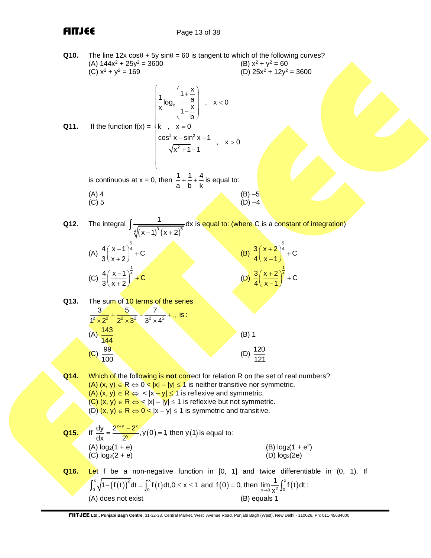**Q10.** The line  $12x \cos\theta + 5y \sin\theta = 60$  is tangent to which of the following curves?<br>(A)  $144x^2 + 25y^2 = 3600$  (B)  $x^2 + y^2 = 60$ (A)  $144x^2 + 25y^2 = 3600$ <br>(C)  $x^2 + y^2 = 169$  $(D)$  25x<sup>2</sup> + 12y<sup>2</sup> = 3600 **Q11.** If the function  $f(x) = \begin{cases} k, & x = 0 \end{cases}$ x  $2v$  –  $sin^2$  $\frac{\cos^2 x - \sin^2 x - 1}{\sqrt{x^2 + 1} + 1}$ ,  $x > 0$  $\frac{1}{x}$ log<sub>x</sub>  $\left(\frac{1+\frac{x}{a}}{1-\frac{x}{b}}\right)$ ,  $x < 0$  $\sqrt{x^2 + 1} - 1$  $\left( \begin{array}{c} \left( 1 + \frac{x}{x} \right) \end{array} \right)$  $\frac{1}{x}$ log<sub>x</sub> $\left| \frac{1+\frac{x}{a}}{x} \right|$ , x  $\left| \frac{x}{x} \right| \frac{y}{1-\frac{x}{b}} \right|$  $\begin{pmatrix} 1-\frac{1}{b} \end{pmatrix}$  $\frac{\cos^2 x - \sin^2 x - 1}{\sqrt{x}}$ , x>  $\sqrt{x^2+1}-1$ 

is continuous at  $x = 0$ , then  $\frac{1}{x} + \frac{1}{y} + \frac{4}{z}$ a b k  $+ - + -$  is equal to: (A) 4 (B)  $-5$ <br>(C) 5 (D)  $-4$ 

 $\overline{\phantom{a}}$  $\overline{\mathfrak{c}}$ 

(C) 5 (D) –4

**Q12.** The integral

 $\sqrt[4]{(x-1)^3(x+2)^5}$  $\frac{1}{1}$  dx  $(x-1)^3(x+2)$  $\int \frac{1}{\sqrt{(\zeta-\Delta)^3\,(\zeta-\Delta)^5}}$ dx is <mark>equal to: (where</mark> C is a constant of integration)

| (A) $\frac{4}{3} \left( \frac{x-1}{x+2} \right)^{\frac{5}{4}} + C$ |
|--------------------------------------------------------------------|
| (C) $\frac{4}{3} \left( \frac{x-1}{x+2} \right)^{\frac{1}{4}} + C$ |

| (B) $\frac{3}{4} \left( \frac{x+2}{x-1} \right)^{\frac{5}{4}} + C$ |  |
|--------------------------------------------------------------------|--|
| (D) $\frac{3}{4} \left( \frac{x+2}{x-1} \right)^{\frac{1}{4}} + C$ |  |

**Q13.** The sum of 10 terms of the series<br> $\frac{3}{2} + \frac{5}{2^2} + \frac{7}{2^2} + \dots$ is:

|                         | $\frac{1^2 \times 2^2}{1^2 \times 2^2} + \frac{1}{2^2 \times 3^2} + \dots$ is : |         |                   |
|-------------------------|---------------------------------------------------------------------------------|---------|-------------------|
| $(A) \frac{143}{144}$   |                                                                                 | $(B)$ 1 |                   |
| $\frac{99}{100}$<br>(C) |                                                                                 | (D)     | $\frac{120}{121}$ |

**Q14.** Which of the following is **not** correct for relation R on the set of real numbers? (A)  $(x, y) \in R \Leftrightarrow 0 < |x| - |y| \le 1$  is neither transitive nor symmetric. (A)  $(x, y) \in R \Leftrightarrow \langle |x - y| \le 1$  is reflexive and symmetric. (C)  $(x, y) \in R \Leftrightarrow k |x| - |y| \le 1$  is reflexive but not symmetric. (D)  $(x, y) \in R \Leftrightarrow 0 < |x - y| \leq 1$  is symmetric and transitive.

Q15. If 
$$
\frac{dy}{dx} = \frac{2^{x+y} - 2^x}{2^y}
$$
,  $y(0) = 1$ , then  $y(1)$  is equal to:  
\n(A)  $\log_2(1 + e)$   
\n(B)  $\log_2(1 + e^2)$   
\n(C)  $\log_2(2 + e)$   
\n(D)  $\log_2(2e)$ 

**Q16.** Let f be a non-negative function in [0, 1] and twice differentiable in (0, 1). If  $\int_{0}^{x} \sqrt{1-(f(t))^{2}} dt = \int_{0}^{x} f(t) dt$ Let t be a non-negative function in [0, 1] and twice difference  $\int_0^x \sqrt{1-(f(t))^2} dt = \int_0^x f(t) dt$ ,  $0 \le x \le 1$  and  $f(0) = 0$ , then  $\lim_{x\to 0} \frac{1}{x^2} \int_0^x f(t) dt$  $\lim_{x\to 0} \frac{1}{x^2} J_0$  $f(0) = 0$ , then  $\lim_{x \to 0} \frac{1}{x^2} \int_0^x f(t) dt$ : (A) does not exist (B) equals 1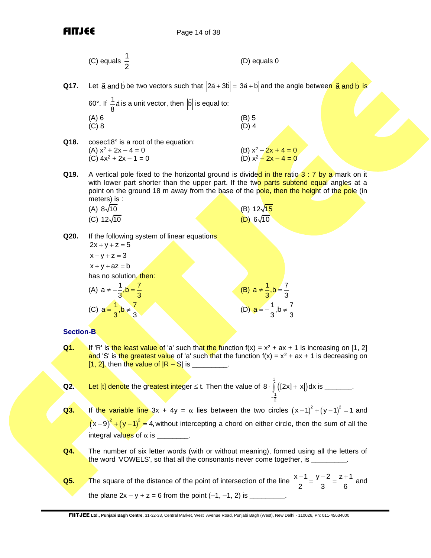|                  | (C) equals $\frac{1}{2}$                                                                                                                                                                                                                                                                                                                     | (D) equals 0                                                                               |
|------------------|----------------------------------------------------------------------------------------------------------------------------------------------------------------------------------------------------------------------------------------------------------------------------------------------------------------------------------------------|--------------------------------------------------------------------------------------------|
| Q17.             | Let $\vec{a}$ and $\vec{b}$ be two vectors such that $ 2\vec{a} + 3\vec{b}  =  3\vec{a} + \vec{b} $ and the angle between $\vec{a}$ and $\vec{b}$ is                                                                                                                                                                                         |                                                                                            |
|                  | 60°. If $\frac{1}{8}$ a is a unit vector, then $ \vec{b} $ is equal to:                                                                                                                                                                                                                                                                      |                                                                                            |
|                  | $(A)$ 6<br>$(C)$ 8                                                                                                                                                                                                                                                                                                                           | $(B)$ 5<br>$(D)$ 4                                                                         |
| Q18.             | cosec18° is a root of the equation:<br>$(A) x2 + 2x - 4 = 0$<br>$(C) 4x2 + 2x - 1 = 0$                                                                                                                                                                                                                                                       | (B) $x^2 - 2x + 4 = 0$<br>(D) $x^2 - 2x - 4 = 0$                                           |
| Q19.             | A vertical pole fixed to the horizontal ground is divided in the ratio 3 : 7 by a mark on it<br>with lower part shorter than the upper part. If the two parts subtend equal angles at a<br>point on the ground 18 m away from the base of the pole, then the height of the pole (in<br>meters) is :<br>(A) $8\sqrt{10}$<br>(C) $12\sqrt{10}$ | (B) 12√ <mark>15</mark><br>$(D)$ 6 $\sqrt{10}$                                             |
| Q20.             | If the following system of linear equations<br>$2x + y + z = 5$<br>$x - y + z = 3$<br>$x + y + az = b$<br>has no solution, then:<br>(A) $a \neq -\frac{1}{3}, b = \frac{7}{3}$<br>(C) $a = \frac{1}{3}, b \neq \frac{7}{3}$                                                                                                                  | (B) $a \neq \frac{1}{3}, b = \frac{7}{3}$<br>(D) $a = -\frac{1}{3}$ , $b \neq \frac{7}{3}$ |
| <b>Section-B</b> |                                                                                                                                                                                                                                                                                                                                              |                                                                                            |

**Q1.** If 'R' is the least value of 'a' such that the function  $f(x) = x^2 + ax + 1$  is increasing on [1, 2] and 'S' is the greatest value of 'a' such that the function f(x) =  $x^2$  + ax + 1 is decreasing on  $[1, 2]$ , then the value of  $|R - S|$  is \_\_\_\_\_\_\_\_.

**Q2.** Let [t] denote the greatest integer 
$$
\leq t
$$
. Then the value of  $8 \cdot \int_{-\frac{1}{2}}^{1} ([2x] + |x|) dx$  is \_\_\_\_\_\_\_.

**Q3.** If the variable line  $3x + 4y = \alpha$  lies between the two circles  $(x-1)^2 + (y-1)^2 = 1$  and  $(x-9)^{2} + (y-1)^{2} = 4$ , without intercepting a chord on either circle, then the sum of all the integral values of  $\alpha$  is  $\frac{1}{\alpha}$ 

- **Q4.** The number of six letter words (with or without meaning), formed using all the letters of the word 'VOWELS', so that all the consonants never come together, is \_\_\_\_\_\_\_\_\_.
- **Q5.** The square of the distance of the point of intersection of the line  $\frac{x-1}{2} = \frac{y-2}{2} = \frac{z+1}{2}$  $2 \begin{array}{ccc} 2 & 3 & 6 \end{array}$  $\frac{-1}{2} = \frac{y-2}{2} = \frac{z+1}{2}$  and the plane 2x – y + z = 6 from the point (–1, –1, 2) is \_\_\_\_\_\_\_\_\_.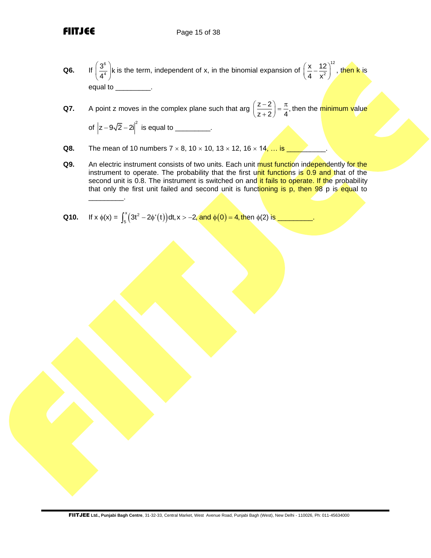- **Q6.** If 6 4  $\left(\frac{3^6}{4^4}\right)$ k is the term, independent of x, in the binomial expansion of 12 2 x 12 4 x  $\left(\frac{\mathsf{x}}{4}-\frac{12}{\mathsf{x}^2}\right)^n$ , then k is equal to \_\_\_\_\_\_\_\_\_\_.
- **Q7.** A point z moves in the complex plane such that arg  $\left(\frac{z-2}{z+2}\right) = \frac{\pi}{4}$ ,  $\left(\frac{z-2}{z+2}\right)$  =  $\frac{\pi}{4}$ , then the minimum value of  $|z - 9\sqrt{2} - 2i|^2$  is equal to \_\_\_\_\_\_\_\_\_.
- **Q8.** The mean of 10 numbers  $7 \times 8$ ,  $10 \times 10$ ,  $13 \times 12$ ,  $16 \times 14$ , ... is
- **Q9.** An electric instrument consists of two units. Each unit must function independently for the instrument to operate. The probability that the first unit functions is 0.9 and that of the second unit is 0.8. The instrument is switched on and it fails to operate. If the probability that only the first unit failed and second unit is functioning is  $p$ , then 98 p is equal to  $\overline{\phantom{a}}$
- **Q10.** If  $x \phi(x) = \int_{0}^{x} (3t^2 2\phi'(t)) dt, x > -2$ , and  $\phi(0)$  $\int_{5}^{x}(3t^2-2\phi'(t))dt, x>-2$ , and  $\phi(0)=4$ , then  $\phi(2)$  is \_\_\_\_\_\_\_\_\_\_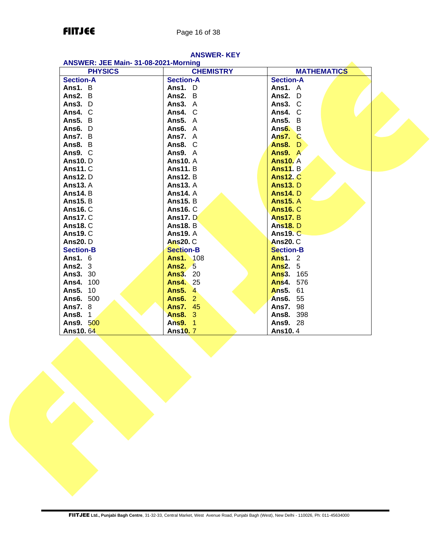## **FIITJEE** Page 16 of 38

| ANSWER: JEE Main- 31-08-2021-Morning |                  |                    |  |  |
|--------------------------------------|------------------|--------------------|--|--|
| <b>PHYSICS</b>                       | <b>CHEMISTRY</b> | <b>MATHEMATICS</b> |  |  |
| <b>Section-A</b>                     | <b>Section-A</b> | <b>Section-A</b>   |  |  |
| Ans1. B                              | Ans1. D          | Ans1. A            |  |  |
| Ans2. B                              | Ans2. B          | Ans2. D            |  |  |
| Ans3. D                              | Ans $3. A$       | Ans3. C            |  |  |
| Ans4. C                              | Ans4. C          | Ans4. C            |  |  |
| Ans5. B                              | <b>Ans5. A</b>   | Ans5. B            |  |  |
| Ans6. D                              | Ans6. $A$        | Ans $6. B$         |  |  |
| Ans7. B                              | Ans7. A          | Ans7. C            |  |  |
| Ans8. B                              | Ans8. C          | <b>Ans8. D</b>     |  |  |
| Ans9. C                              | Ans9. A          | Ans9. A            |  |  |
| <b>Ans10.</b> D                      | <b>Ans10. A</b>  | <b>Ans10. A</b>    |  |  |
| <b>Ans11. C</b>                      | <b>Ans11.</b> B  | <b>Ans11.</b> B    |  |  |
| <b>Ans12.</b> D                      | <b>Ans12. B</b>  | <b>Ans12. C</b>    |  |  |
| <b>Ans13. A</b>                      | <b>Ans13. A</b>  | <b>Ans13. D</b>    |  |  |
| <b>Ans14.</b> B                      | <b>Ans14. A</b>  | <b>Ans14.</b> D    |  |  |
| <b>Ans15. B</b>                      | <b>Ans15. B</b>  | <b>Ans15. A</b>    |  |  |
| <b>Ans16. C</b>                      | <b>Ans16. C</b>  | <b>Ans16. C</b>    |  |  |
| <b>Ans17. C</b>                      | <b>Ans17. D</b>  | <b>Ans17. B</b>    |  |  |
| <b>Ans18. C</b>                      | <b>Ans18. B</b>  | <b>Ans18.</b> D    |  |  |
| <b>Ans19. C</b>                      | <b>Ans19. A</b>  | <b>Ans19. C</b>    |  |  |
| <b>Ans20.</b> D                      | <b>Ans20. C</b>  | <b>Ans20. C</b>    |  |  |
| <b>Section-B</b>                     | <b>Section-B</b> | <b>Section-B</b>   |  |  |
| <b>Ans1. 6</b>                       | <b>Ans1. 108</b> | <b>Ans1.</b> 2     |  |  |
| Ans $2.3$                            | <b>Ans2. 5</b>   | <b>Ans2. 5</b>     |  |  |
| <b>Ans3. 30</b>                      | <b>Ans3. 20</b>  | Ans3. 165          |  |  |
| Ans4. 100                            | <b>Ans4.</b> 25  | <b>Ans4. 576</b>   |  |  |
| <b>Ans5. 10</b>                      | <b>Ans5. 4</b>   | <b>Ans5. 61</b>    |  |  |
| Ans6. 500                            | <b>Ans6. 2</b>   | <b>Ans6. 55</b>    |  |  |
| <b>Ans7.</b> 8                       | <b>Ans7. 45</b>  | <b>Ans7. 98</b>    |  |  |
| <b>Ans8. 1</b>                       | <b>Ans8. 3</b>   | <b>Ans8. 398</b>   |  |  |
| Ans9. 500                            | Ans9. 1          | <b>Ans9. 28</b>    |  |  |
| <b>Ans10.64</b>                      | Ans10.7          | <b>Ans10.4</b>     |  |  |

# **ANSWER- KEY**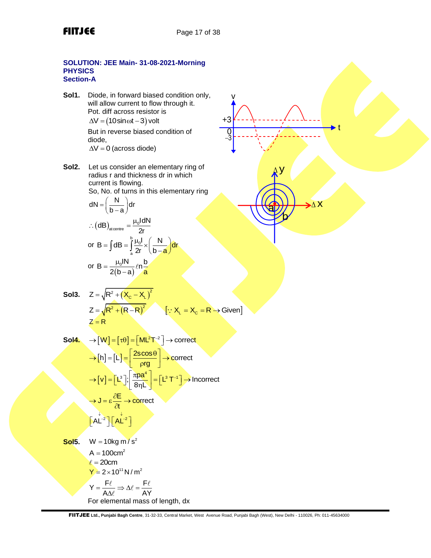$-3$ 

a

Δ y

b

 $\lambda$  X

t

+3

v

### **SOLUTION: JEE Main- 31-08-2021-Morning PHYSICS Section-A**

- **Sol1.** Diode, in forward biased condition only, will allow current to flow through it. Pot. diff across resistor is  $\Delta V = (10 \sin \omega t - 3)$  volt But in reverse biased condition of diode,
	- $\Delta V = 0$  (across diode)
- **Sol2.** Let us consider an elementary ring of radius r and thickness dr in which current is flowing. So, No. of turns in this elementary ring

$$
dN = \left(\frac{N}{b-a}\right)dr
$$

$$
\therefore (dB)_{\text{atomic}} = \frac{\mu_0 dN}{2r}
$$

or B = 
$$
\int dB = \int_{a}^{b} \frac{\mu_0 I}{2r} \times \left(\frac{N}{b-a}\right) dr
$$
  
or B = 
$$
\frac{\mu_0 IN}{2(b-a)} \ln \frac{b}{a}
$$

Sol3. 
$$
Z = \sqrt{R^2 + (X_c - X_L)^2}
$$

$$
Z = \sqrt{R^2 + (R - R)^2}
$$
 
$$
[ \because X_L = X_c = R \rightarrow \text{Given}]
$$

$$
Z = R
$$

$$
Sol4. \rightarrow [W] = [\tau \theta] = [ML^{2}T^{-2}] \rightarrow \text{correct}
$$
\n
$$
\rightarrow [h] = [L] = \left[\frac{2\text{scos}\theta}{\text{prg}}\right] \rightarrow \text{correct}
$$
\n
$$
\rightarrow [v] = [L^{3}]; \left[\frac{\pi \text{pa}^{4}}{8\eta L}\right] = [L^{3}T^{-1}] \rightarrow \text{incorrect}
$$
\n
$$
\rightarrow J = \varepsilon \frac{\partial E}{\partial t} \rightarrow \text{correct}
$$
\n
$$
[AL^{-2}][AL^{-2}]
$$

**Sol5.**  $W = 10$ kg m / s<sup>2</sup>  $A = 100$ cm<sup>2</sup>  $\ell = 20$ cm  $Y = 2 \times 10^{11} N/m^2$ 

$$
Y = \frac{F\ell}{A\Delta\ell} \Rightarrow \Delta\ell = \frac{F\ell}{AY}
$$

For elemental mass of length, dx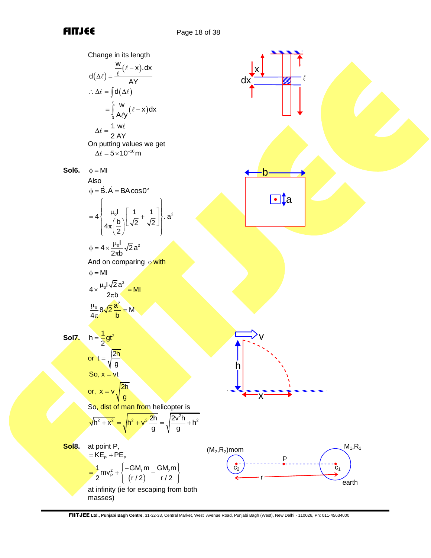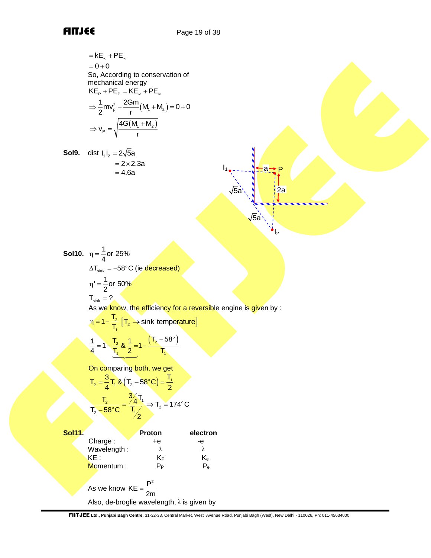$\mathsf{I}_1$ 

$$
= kE_{\infty} + PE_{\infty}
$$
  
= 0 + 0  
So, According to conservation of mechanical energy  

$$
KE_{P} + PE_{P} = KE_{\infty} + PE_{\infty}
$$

$$
\Rightarrow \frac{1}{2}mv_{P}^{2} - \frac{2Gm}{r}(M_{1} + M_{2}) = 0 + 0
$$

$$
\Rightarrow v_{P} = \sqrt{\frac{4G(M_{1} + M_{2})}{r}}
$$

**Sol9.** dist 
$$
I_1 I_2 = 2\sqrt{5}a
$$
  
= 2 × 2.3a  
= 4.6a

a 2a P 5a 5a

 $\mathbf{I}_{2}$ 

**Sol10.**  $\eta = \frac{1}{4}$ or 25%  $\eta =$  $\Delta{\sf T}_{\sf sink}=-58^\circ{\sf C}$  (ie <mark>decreased)</mark>  $l = \frac{1}{2}$ or 50%  $\eta' = \frac{1}{2}$  $T_{\text{sink}} = ?$ 

As we know, the efficiency for a reversible engine is given by :

$$
\eta = 1 - \frac{T_2}{T_1} \left[ T_2 \rightarrow \text{sink temperature} \right]
$$

$$
\frac{1}{4} = 1 - \frac{T_2}{T_1} \& \frac{1}{2} = 1 - \frac{\left( T_2 - 58^{\circ} \right)}{T_1}
$$

 $\frac{1}{1}$   $\frac{2}{1}$   $\frac{1}{1}$ 

On comparing both, we get

$$
T_2 = \frac{3}{4}T_1 & (T_2 - 58^\circ C) = \frac{T_1}{2}
$$

$$
\frac{T_2}{T_2 - 58^\circ C} = \frac{3}{T_1} \frac{T_1}{2} \Rightarrow T_2 = 174^\circ C
$$

| <b>Sol11.</b> |                                                    | Proton | electron                |  |  |  |
|---------------|----------------------------------------------------|--------|-------------------------|--|--|--|
|               | Charge:                                            | $+e$   | -е                      |  |  |  |
|               | Wavelength:                                        | λ      | λ                       |  |  |  |
|               | KE :                                               | KР     | $\mathsf{K}_\mathsf{e}$ |  |  |  |
|               | Momentum:                                          | $P_P$  | $P_{e}$                 |  |  |  |
|               | As we know $KE = \frac{P^2}{P}$<br>2m              |        |                         |  |  |  |
|               | Also, de-broglie wavelength, $\lambda$ is given by |        |                         |  |  |  |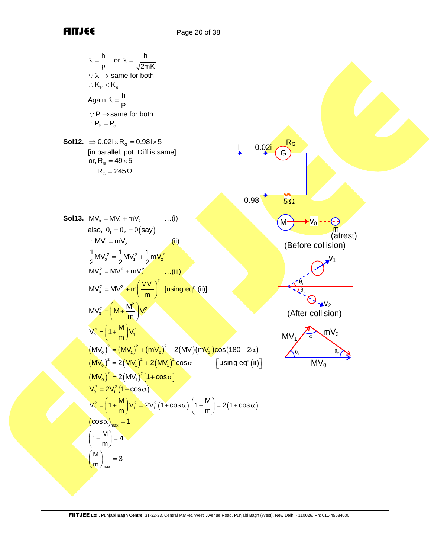$$
x = \frac{h}{p}
$$
 or  $x = \frac{h}{2mK}$   
\n∴  $x = h$  same for both  
\n∴  $K_n < K_n$   
\nAgain  $x = \frac{h}{p}$   
\n∴ P<sub>0</sub> = 9  
\n∴ P<sub>0</sub> = P<sub>n</sub>  
\nSo112. ⇒ 0.021 × R<sub>0</sub> = 0.081 × 5  
\nIn parallel, pot U, 1 mV<sub>2</sub>  
\nor, R<sub>n</sub> = 49 × 5  
\nR<sub>0</sub> = 245Ω  
\nSo113. MV<sub>0</sub> = MV<sub>1</sub> + mV<sub>2</sub>  
\n
$$
= MV_0^2 = \frac{1}{2} MV_1^2 + \frac{1}{2} mV_2^2
$$
\n
$$
MV_0^2 = MV_1^2 + mv_2^2
$$
\n
$$
MV_0^2 = MV_1^2 + mv_2^2
$$
\n
$$
WV_0^2 = (M + \frac{M^2}{m}) V_1^2
$$
\n
$$
V_0^2 = (M + \frac{M^2}{m}) V_1^2
$$
\n
$$
(M + \frac{M^2}{m}) V_1^2
$$
\n
$$
(M + \frac{M^2}{m}) V_1^2
$$
\n
$$
(M + \frac{M^2}{m}) V_1^2
$$
\n
$$
(M + \frac{M^2}{m}) V_1^2
$$
\n
$$
(M + \frac{M^2}{m}) V_1^2
$$
\n
$$
(M + \frac{M^2}{m}) V_1^2
$$
\n
$$
(M + \frac{M^2}{m}) V_1^2
$$
\n
$$
(M + \frac{M^2}{m}) V_1^2
$$
\n
$$
(M + \frac{M^2}{m}) V_1^2
$$
\n
$$
(M + \frac{M^2}{m}) V_1^2
$$
\n
$$
(M + \frac{M^2}{m}) V_1^2
$$
\n
$$
(M + \frac{M^2}{m}) V_1^2
$$
\n
$$
(M + \frac{M^2}{m}) V_1^2 = 2V_1^2 (1 + \cos \alpha)
$$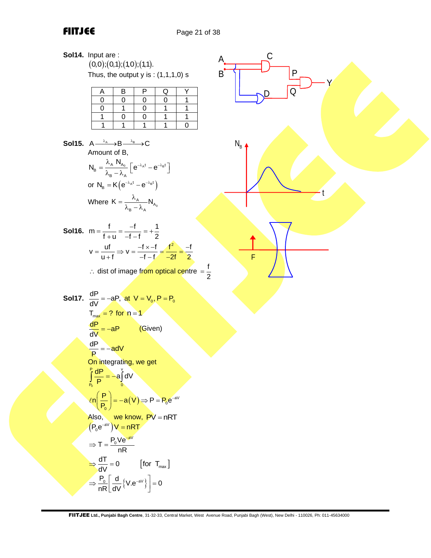## **FIITJEE** Page 21 of 38

| Sol14. Input are :<br>(0,0);(0,1);(1,0);(1,1).                                                                                                                                                                                                                                                              | C                 |
|-------------------------------------------------------------------------------------------------------------------------------------------------------------------------------------------------------------------------------------------------------------------------------------------------------------|-------------------|
| Thus, the output $y$ is : $(1,1,1,0)$ s                                                                                                                                                                                                                                                                     | $\mathsf{P}$<br>B |
| B<br>Р<br>A<br>Q<br>$\mathbf 1$<br>0<br>0<br>0<br>0                                                                                                                                                                                                                                                         | Q                 |
| $\mathbf 1$<br>1<br>0<br>0<br>1<br>1<br>1<br>0<br>1<br>0                                                                                                                                                                                                                                                    |                   |
| 1<br>$\mathbf 0$                                                                                                                                                                                                                                                                                            |                   |
| <b>Sol15.</b> $A \xrightarrow{\lambda_A} B \xrightarrow{\lambda_B} C$<br>Amount of B,                                                                                                                                                                                                                       | $N_{\rm B}$       |
| $N_{\scriptscriptstyle\mathsf{B}}=\frac{\lambda_{\scriptscriptstyle\mathsf{A}}\ N_{\scriptscriptstyle\mathsf{A}_0}}{\lambda_{\scriptscriptstyle\mathsf{B}}-\lambda_{\scriptscriptstyle\mathsf{A}}}\left[e^{-\lambda_{\scriptscriptstyle\mathsf{A}} t}-e^{-\lambda_{\scriptscriptstyle\mathsf{B}} t}\right]$ |                   |
| or $N_B = K(e^{-\lambda_A t} - e^{-\lambda_B t})$                                                                                                                                                                                                                                                           |                   |
| Where $K = \frac{\lambda_A}{\lambda_B - \lambda_A} N_{A_0}$                                                                                                                                                                                                                                                 |                   |
| <b>Sol16.</b> $m = \frac{f}{f+u} = \frac{-f}{-f-f} = +\frac{1}{2}$                                                                                                                                                                                                                                          |                   |
| $v = \frac{uf}{11 + f}$ $\Rightarrow v = \frac{-f \times -f}{-f - f} = \frac{f^2}{-2f} = \frac{-f}{2}$                                                                                                                                                                                                      | F                 |
| ∴ dist of image from optical centre = $\frac{f}{2}$                                                                                                                                                                                                                                                         |                   |
| <b>Sol17.</b> $\frac{dP}{dV} = -aP$ , at $V = V_0$ , $P = P_0$                                                                                                                                                                                                                                              |                   |
| $T_{max}$ = ? for $n = 1$                                                                                                                                                                                                                                                                                   |                   |
| $\frac{dP}{dV} = -aP$<br>(Given)                                                                                                                                                                                                                                                                            |                   |
| $\frac{dP}{P} = -adV$                                                                                                                                                                                                                                                                                       |                   |
| On integrating, we get                                                                                                                                                                                                                                                                                      |                   |
| $\int_{P_0}^{P} \frac{dP}{P} = -a \int_{0}^{V} dV$                                                                                                                                                                                                                                                          |                   |
| $\ell n \left( \frac{P}{P_0} \right) = -a(V) \Rightarrow P = P_0 e^{-aV}$                                                                                                                                                                                                                                   |                   |
|                                                                                                                                                                                                                                                                                                             |                   |
| Also, we know, PV = nRT<br>$(P_0e^{-aV})V=nRT$                                                                                                                                                                                                                                                              |                   |
| $\Rightarrow T = \frac{P_0 V e^{-aV}}{nR}$                                                                                                                                                                                                                                                                  |                   |
| $\Rightarrow \frac{dT}{dV} = 0$ [for T <sub>max</sub> ]                                                                                                                                                                                                                                                     |                   |
| $\Rightarrow \frac{P_0}{nR} \left[ \frac{d}{dV} \left\{ V \cdot e^{-av} \right\} \right] = 0$                                                                                                                                                                                                               |                   |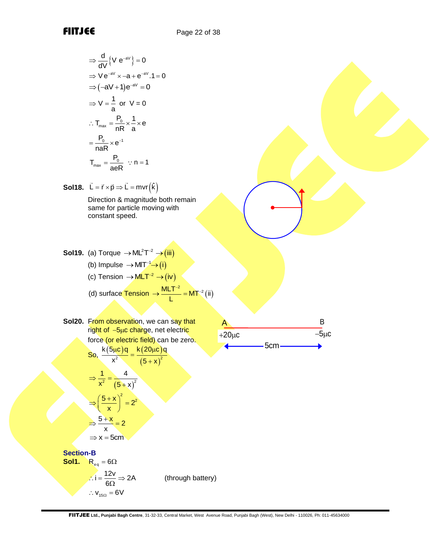$$
\Rightarrow \frac{d}{dV} \{ V e^{-av} \} = 0
$$
  
\n
$$
\Rightarrow Ve^{-av} \times -a + e^{-av}.1 = 0
$$
  
\n
$$
\Rightarrow (-aV + 1)e^{-av} = 0
$$
  
\n
$$
\Rightarrow V = \frac{1}{a} \text{ or } V = 0
$$
  
\n
$$
\therefore T_{max} = \frac{P_0}{nR} \times \frac{1}{a} \times e
$$
  
\n
$$
= \frac{P_0}{nAR} \times e^{-1}
$$
  
\n
$$
T_{max} = \frac{P_0}{aeR} \therefore n = 1
$$

**Sol18.**  $\vec{L} = \vec{r} \times \vec{p} \Rightarrow \vec{L} = mvr(\hat{k})$ 

Direction & magnitude both remain same for particle moving with constant speed.

**Sol19.** (a) Torque  $\rightarrow$  ML<sup>2</sup>T<sup>-2</sup>  $\rightarrow$  (iii) (b) Impulse  $\rightarrow$  MIT<sup>-1</sup> $\rightarrow$  (i) (c) Tension →  $MLT^{-2}$  → (iv) (d) surface  $\frac{Tension}{L} = MT^{-2} (ii)$  $\rightarrow \frac{MLT^{-2}}{1} = MT^{-1}$ 

**Sol20.** From observation, we can say that right of -5μc charge, net electric force (or electric field) can be zero. So,  $\frac{k(5\mu c)q}{r^2} = \frac{k(20\mu c)}{r^2}$ <sup>2</sup>  $(5+x)^2$ k(5<mark>μc)q k(20μc)q</mark>  $x^2$   $(5 + x$  $\frac{\mu c}{2} = \frac{k(20\mu c)}{2}$ +

$$
\Rightarrow \frac{1}{x^2} = \frac{4}{(5+x)^2}
$$

$$
\Rightarrow \left(\frac{5+x}{x}\right)^2 = 2^2
$$

$$
\Rightarrow \frac{5+x}{x} = 2
$$

$$
\Rightarrow x = 5
$$
cm

**Section-B Sol1.**  $R_{eq} = 6\Omega$  $i = \frac{12v}{6\Omega} \Rightarrow 2A$  $\therefore i = \frac{12V}{6\Omega} \Rightarrow$ (through battery)  $\therefore$   $V_{15\Omega} = 6V$ 

 $\frac{A}{+20\mu c}$  B<br>+20 $\mu c$  5cm  $\longrightarrow$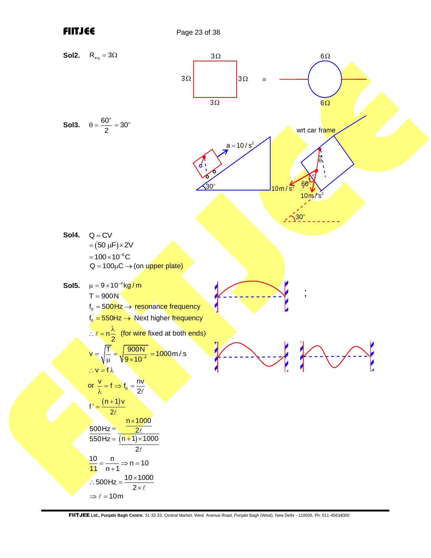FIITJEE Page 23 of 38

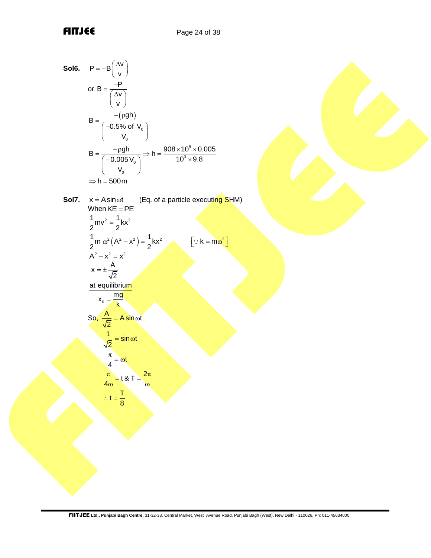**Sol6.** 
$$
P = -B\left(\frac{\Delta v}{v}\right)
$$

\nor  $B = \frac{-P}{\left(\frac{\Delta v}{v}\right)}$ 

\n $B = \frac{-\left(\frac{\Delta v}{v}\right)}{\left(\frac{-0.5\% \text{ of } V_0}{V_0}\right)}$ 

\n $B = \frac{-\rho g h}{\left(\frac{-0.005 V_0}{V_0}\right)} \Rightarrow h = \frac{908 \times 10^8 \times 0.005}{10^3 \times 9.8}$ 

\n $\Rightarrow h = 500 \text{ m}$ 

**Sol7.**  $x = A \sin \omega t$ (Eq. of a particle executing SHM) When  $KE = PE$  $\frac{1}{2}$ mv<sup>2</sup> =  $\frac{1}{2}$ kx<sup>2</sup> =  $\frac{1}{2}$ m  $\omega^2 (A^2 - x^2) = \frac{1}{2} kx^2$  $\omega^2(A^2 - x^2) = \frac{1}{2}kx^2$   $\left[\because k = m\omega^2\right]$  $A^2 - x^2 = x^2$  $x = \pm \frac{A}{b}$ 2  $=\pm \frac{R}{\sqrt{2}}$ 0 at equilibriu<mark>m</mark>  $x_0 = \frac{mg}{k}$ So,  $\frac{A}{\sqrt{2}}$  = A sin ot  $\overline{c}$ <mark>= A sin</mark> @f  $\frac{1}{\sqrt{2}}$  = sin  $\omega t$ 2  $=$  sin  $\omega$  $\frac{\pi}{4} = \omega t$  $\frac{\pi}{\pi} = \omega$  $rac{\pi}{4\omega}$  = t & T =  $rac{2}{\omega}$  $\frac{\pi}{4\omega}$  = t & T =  $\frac{2\pi}{\omega}$  $\therefore t = \frac{T}{8}$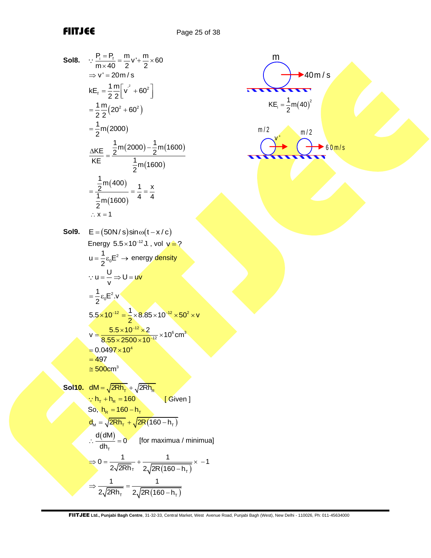m

i  $KE_i = \frac{1}{2}m(40$ 

 $m/2$   $m/2$ 

 $\rightarrow$  40 m / s

 $60 m/s$ 

 $(40)^2$ 

Sol8. 
$$
\frac{P_i = P_i}{m \times 40} = \frac{m}{2}v' + \frac{m}{2} \times 60
$$
  
\n
$$
\Rightarrow v' = 20m/s
$$
  
\n
$$
kE_t = \frac{1}{2} \frac{m}{2} [v^2 + 60^2]
$$
  
\n
$$
= \frac{1}{2} \frac{m}{2} (20^2 + 60^2)
$$
  
\n
$$
= \frac{1}{2} m(2000)
$$
  
\n
$$
\frac{\Delta KE}{KE} = \frac{\frac{1}{2} m(2000) - \frac{1}{2} m(1600)}{\frac{1}{2} m(1600)}
$$
  
\n
$$
= \frac{\frac{1}{2} m(400)}{\frac{1}{2} m(1600)} = \frac{1}{4} = \frac{x}{4}
$$
  
\n
$$
\therefore x = 1
$$
  
\nSol9. 
$$
E = (50N/s) sin\omega(t - x/c)
$$
  
\nEnergy 5.5×10<sup>-12</sup> J, vol  $v = ?$   
\n
$$
u = \frac{1}{2} \epsilon_0 E^2 \Rightarrow energy density
$$
  
\n
$$
\therefore u = \frac{U}{v} \Rightarrow U = uv
$$
  
\n
$$
= \frac{1}{2} \epsilon_0 E^2 x
$$
  
\n
$$
= \frac{5.5 \times 10^{-12} \times 2}{8.55 \times 2500 \times 10^{-12} \times 10^6 \text{ cm}^3}
$$
  
\n
$$
= 0.0497 \times 10^4
$$
  
\n
$$
= \frac{6.5 \times 10^{-12} \times 2}{8.00 \text{ cm}^3}
$$
  
\nSol10. 
$$
\frac{dM}{dN} = \frac{\sqrt{2Rh_T}}{2} + \sqrt{2Rh_R}
$$
  
\n
$$
\frac{d}{dh_T} = 0
$$
  
\nSo,  $h_R = 160 - h_T$   
\n
$$
\frac{d}{dh_T} = 0
$$
  
\n
$$
\frac{d}{dh_T} = \frac{1}{2} \frac{1}{2R[1(60 - h_T)} \times -1
$$
  
\n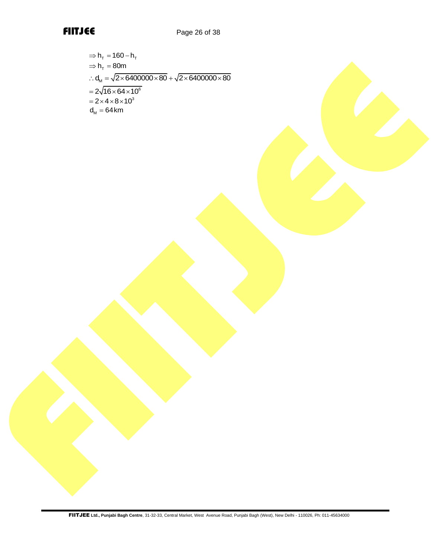

$$
\Rightarrow h_{\tau} = 160 - h_{\tau}
$$
  
\n
$$
\Rightarrow h_{\tau} = 80m
$$
  
\n
$$
\therefore d_{\mu} = \sqrt{2 \times 6400000 \times 80} + \sqrt{2 \times 6400000 \times 80}
$$
  
\n
$$
= 2\sqrt{16 \times 64 \times 10^6}
$$
  
\n
$$
= 2 \times 4 \times 8 \times 10^3
$$
  
\n
$$
d_{\mu} = 64 \text{ km}
$$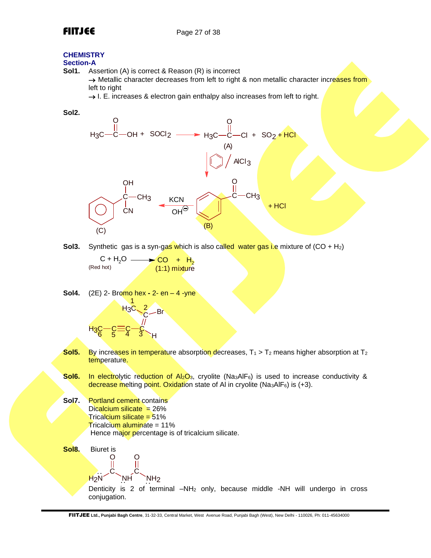## **CHEMISTRY**

## **Section-A**

**Sol1.** Assertion (A) is correct & Reason (R) is incorrect

→ Metallic character decreases from left to right & non metallic character increases from left to right

 $\rightarrow$  I. E. increases & electron gain enthalpy also increases from left to right.



**Sol3.** Synthetic gas is a syn-gas which is also called water gas i.e mixture of (CO + H<sub>2</sub>)

 $C + H_2O \longrightarrow CO + H_2$ (Red hot) (1:1) mixture

**Sol4.** (2E) 2- Bromo hex **-** 2- en – 4 -yne <u> H3C —ੇੇਂ ਵਿੱਚ</u> H C  $H_3C \begin{matrix} 2 \\ 1 \end{matrix}$ Br  $6 \t 5 \t 4 \t 3$ 1 2

- **Sol5.** By increases in temperature absorption decreases,  $T_1 > T_2$  means higher absorption at T<sub>2</sub> temperature.
- **Sol6.** In electrolytic reduction of Al<sub>2</sub>O<sub>3</sub>, cryolite (Na<sub>3</sub>AlF<sub>6</sub>) is used to increase conductivity & decrease melting point. Oxidation state of AI in cryolite ( $Na<sub>3</sub>AIF<sub>6</sub>$ ) is (+3).

**Sol7.** Portland cement contains Dicalcium silicate  $= 26\%$ Tricalcium silicate = 51% Tricalcium aluminate = 11% Hence major percentage is of tricalcium silicate.

**Sol8.** Biuret is O O

H2N C NH C NH2 Denticity is 2 of terminal –NH<sup>2</sup> only, because middle -NH will undergo in cross conjugation.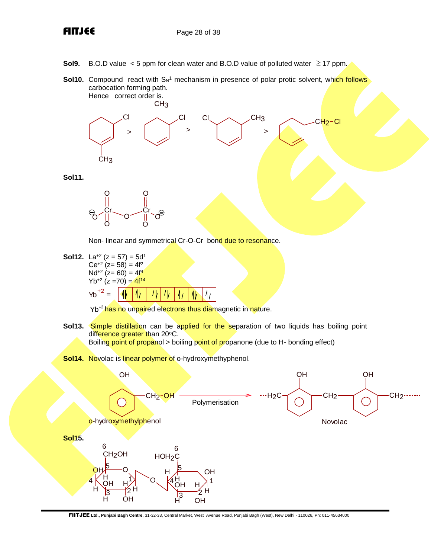- **Sol9.** B.O.D value  $\lt$  5 ppm for clean water and B.O.D value of polluted water  $\ge$  17 ppm.
- **Sol10.** Compound react with S<sub>N</sub><sup>1</sup> mechanism in presence of polar protic solvent, whi<mark>ch follows</mark> carbocation forming path. Hence correct order is.



**Sol11.**



Non- linear and symmetrical Cr-O-Cr bond due to resonance.

**Sol12.** La<sup>+2</sup> ( $z = 57$ ) =  $5d<sup>1</sup>$  $Ce^{+2}$  (z= 58) = 4f<sup>2</sup> Nd<sup>+2</sup> (z= 60) = 4f<sup>4</sup>  $Yb^{+2}$  (z =70) =  $4f^{14}$  $Yb^{+2} =$ 4ŀ

Yb<sup>+2</sup> has no unpaired electrons thus diamagnetic in nature.

**Sol13.** Simple distillation can be applied for the separation of two liquids has boiling point difference greater than 20°C. Boiling point of propanol > boiling point of propanone (due to H- bonding effect)

₩

**Sol14.** Novolac is linear polymer of o-hydroxymethyphenol.

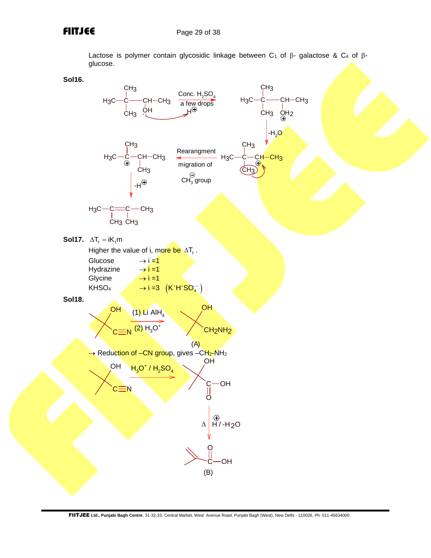Lactose is polymer contain glycosidic linkage between C<sub>1</sub> of  $\beta$ - galactose & C<sub>4</sub> of  $\beta$ glucose.



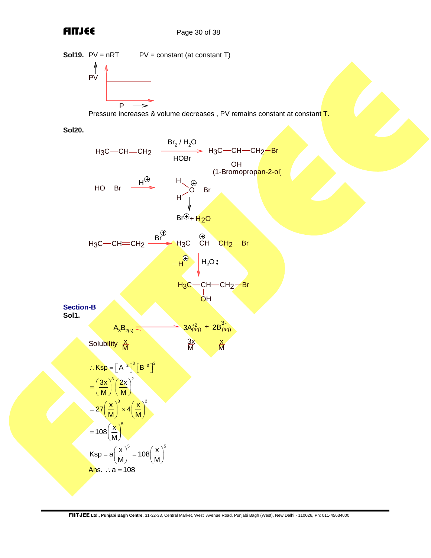

**Sol20.**

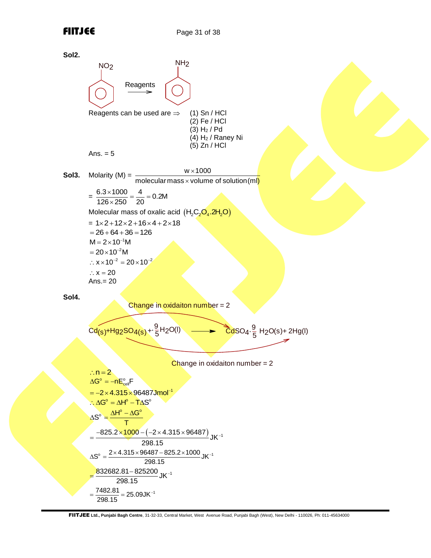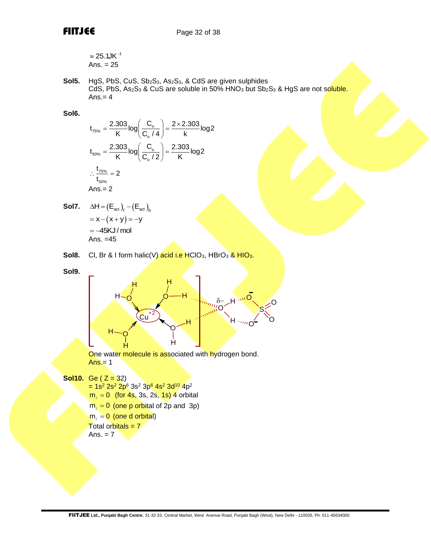$$
\approx 25.1 \text{JK}^{-1}
$$
  
Ans. = 25

Sol5. HgS, PbS, CuS, Sb<sub>2</sub>S<sub>3</sub>, As<sub>2</sub>S<sub>3</sub>, & CdS are given sulphides  $CdS$ , PbS, As<sub>2</sub>S<sub>3</sub> & CuS are soluble in 50% HNO<sub>3</sub> but Sb<sub>2</sub>S<sub>3</sub> & HgS are not soluble. Ans. $= 4$ 

### **Sol6.**

$$
t_{75\%} = \frac{2.303}{K} \log \left( \frac{C_{o}}{C_{o} / 4} \right) = \frac{2 \times 2.303}{K} \log 2
$$
  

$$
t_{50\%} = \frac{2.303}{K} \log \left( \frac{C_{o}}{C_{o} / 2} \right) = \frac{2.303}{K} \log 2
$$
  

$$
\therefore \frac{t_{75\%}}{t_{50\%}} = 2
$$
  
Ans. = 2

- **Sol7.**  $\Delta H = (E_{\text{act}})_f (E_{\text{act}})_b$  $= x - (x + y) = -y$  $= -45KJ/mol$ Ans. =45
- **Sol8.** Cl, Br & I form halic(V) acid i.e HClO<sub>3</sub>, HBrO<sub>3</sub> & HIO<sub>3</sub>.

**Sol9.**



One water molecule is associated with hydrogen bond.  $Ans. = 1$ 

```
Sol10. Ge (Z = 32)
```
- $= 1$ s<sup>2</sup> 2s<sup>2</sup> 2p<sup>6</sup> 3s<sup>2</sup> 3p<sup>6</sup> 4s<sup>2</sup> 3d<sup>10</sup> 4p<sup>2</sup>
- $m_e = 0$  (for 4s, 3s, 2s, 1s) 4 orbital
- $m_{\ell} = 0$  (one p orbital of 2p and 3p)
- $m_{\ell} = 0$  (one d orbital)

 $\overline{T}$ otal orbitals =  $7$ 

$$
Ans. = 7
$$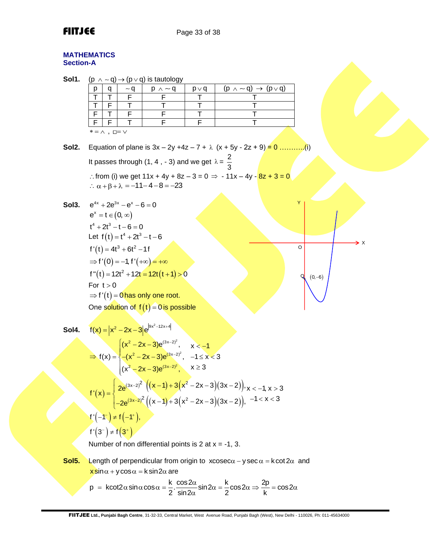### **MATHEMATICS Section-A**

| Sol1.              |                                                                                                                                                                                    |     | $(p \land \neg q) \rightarrow (p \lor q)$ is tautology                                                                                                            |            |                                                                                                                                                                                  |                |  |  |  |  |
|--------------------|------------------------------------------------------------------------------------------------------------------------------------------------------------------------------------|-----|-------------------------------------------------------------------------------------------------------------------------------------------------------------------|------------|----------------------------------------------------------------------------------------------------------------------------------------------------------------------------------|----------------|--|--|--|--|
|                    | p<br>q                                                                                                                                                                             | ~ q | $p \wedge \sim q$                                                                                                                                                 | $p \vee q$ | $(p \land \sim q) \rightarrow (p \lor q)$                                                                                                                                        |                |  |  |  |  |
|                    | $\overline{\mathsf{T}}$<br>T                                                                                                                                                       | F   | F                                                                                                                                                                 | Τ          |                                                                                                                                                                                  |                |  |  |  |  |
|                    | F<br>T                                                                                                                                                                             | T   |                                                                                                                                                                   | Τ          | T                                                                                                                                                                                |                |  |  |  |  |
|                    | F<br>T.                                                                                                                                                                            | F   | F                                                                                                                                                                 | Τ          | T                                                                                                                                                                                |                |  |  |  |  |
|                    | $\mathsf F$<br>F                                                                                                                                                                   |     | F                                                                                                                                                                 | F          | т                                                                                                                                                                                |                |  |  |  |  |
|                    | $* = \wedge$ , $\square = \vee$                                                                                                                                                    |     |                                                                                                                                                                   |            |                                                                                                                                                                                  |                |  |  |  |  |
|                    |                                                                                                                                                                                    |     |                                                                                                                                                                   |            |                                                                                                                                                                                  |                |  |  |  |  |
| Sol2.              |                                                                                                                                                                                    |     |                                                                                                                                                                   |            | Equation of plane is $3x - 2y + 4z - 7 + \lambda (x + 5y - 2z + 9) = 0$ (i)                                                                                                      |                |  |  |  |  |
|                    |                                                                                                                                                                                    |     | It passes through (1, 4, - 3) and we get $\lambda = \frac{2}{3}$                                                                                                  |            |                                                                                                                                                                                  |                |  |  |  |  |
|                    |                                                                                                                                                                                    |     |                                                                                                                                                                   |            |                                                                                                                                                                                  |                |  |  |  |  |
|                    |                                                                                                                                                                                    |     |                                                                                                                                                                   |            | ∴ from (i) we get $11x + 4y + 8z - 3 = 0$ ⇒ - $11x - 4y - 8z + 3 = 0$                                                                                                            |                |  |  |  |  |
|                    |                                                                                                                                                                                    |     | $\therefore \alpha + \beta + \lambda = -11 - 4 - 8 = -23$                                                                                                         |            |                                                                                                                                                                                  |                |  |  |  |  |
|                    |                                                                                                                                                                                    |     |                                                                                                                                                                   |            |                                                                                                                                                                                  | Y              |  |  |  |  |
| Sol <sub>3</sub> . | $e^{4x} + 2e^{3x} - e^{x} - 6 = 0$                                                                                                                                                 |     |                                                                                                                                                                   |            |                                                                                                                                                                                  |                |  |  |  |  |
|                    | $e^x = t \in (0, \infty)$                                                                                                                                                          |     |                                                                                                                                                                   |            |                                                                                                                                                                                  |                |  |  |  |  |
|                    | $t^4 + 2t^3 - t - 6 = 0$                                                                                                                                                           |     |                                                                                                                                                                   |            |                                                                                                                                                                                  |                |  |  |  |  |
|                    | Let $f(t) = t^4 + 2t^3 - t - 6$                                                                                                                                                    |     |                                                                                                                                                                   |            |                                                                                                                                                                                  |                |  |  |  |  |
|                    | $f'(t) = 4t^3 + 6t^2 - 1f$                                                                                                                                                         |     |                                                                                                                                                                   |            |                                                                                                                                                                                  | > x<br>$\circ$ |  |  |  |  |
|                    |                                                                                                                                                                                    |     |                                                                                                                                                                   |            |                                                                                                                                                                                  |                |  |  |  |  |
|                    | $\Rightarrow f'(0) = -1, f'(+\infty) = +\infty$                                                                                                                                    |     |                                                                                                                                                                   |            |                                                                                                                                                                                  |                |  |  |  |  |
|                    |                                                                                                                                                                                    |     | $f''(t) = 12t^2 + 12t = 12t(t+1) > 0$                                                                                                                             |            |                                                                                                                                                                                  | $(0,-6)$       |  |  |  |  |
|                    | For $t > 0$                                                                                                                                                                        |     |                                                                                                                                                                   |            |                                                                                                                                                                                  |                |  |  |  |  |
|                    |                                                                                                                                                                                    |     | $\Rightarrow f'(t) = 0$ has only one root.                                                                                                                        |            |                                                                                                                                                                                  |                |  |  |  |  |
|                    |                                                                                                                                                                                    |     | One solution of $f(t) = 0$ is possible                                                                                                                            |            |                                                                                                                                                                                  |                |  |  |  |  |
|                    |                                                                                                                                                                                    |     |                                                                                                                                                                   |            |                                                                                                                                                                                  |                |  |  |  |  |
|                    |                                                                                                                                                                                    |     |                                                                                                                                                                   |            |                                                                                                                                                                                  |                |  |  |  |  |
| Sol4.              |                                                                                                                                                                                    |     | $f(x) =  x^2 - 2x - 3 e^{ 9x^2 - 12x + 4 }$                                                                                                                       |            |                                                                                                                                                                                  |                |  |  |  |  |
|                    |                                                                                                                                                                                    |     |                                                                                                                                                                   |            |                                                                                                                                                                                  |                |  |  |  |  |
|                    |                                                                                                                                                                                    |     | ⇒ $f(x) = \begin{cases} (x^2 - 2x - 3)e^{(3x-2)^2}, & x < -1 \\ -(x^2 - 2x - 3)e^{(3x-2)^2}, & -1 \le x < 3 \\ (x^2 - 2x - 3)e^{(3x-2)^2}, & x \ge 3 \end{cases}$ |            |                                                                                                                                                                                  |                |  |  |  |  |
|                    |                                                                                                                                                                                    |     |                                                                                                                                                                   |            |                                                                                                                                                                                  |                |  |  |  |  |
|                    |                                                                                                                                                                                    |     |                                                                                                                                                                   |            |                                                                                                                                                                                  |                |  |  |  |  |
|                    |                                                                                                                                                                                    |     |                                                                                                                                                                   |            |                                                                                                                                                                                  |                |  |  |  |  |
|                    |                                                                                                                                                                                    |     |                                                                                                                                                                   |            |                                                                                                                                                                                  |                |  |  |  |  |
|                    |                                                                                                                                                                                    |     |                                                                                                                                                                   |            | $f'(x) = \begin{cases} 2e^{(3x-2)^2} \left( (x-1) + 3(x^2-2x-3)(3x-2) \right), x < -1, x > 3 \\ -2e^{(3x-2)^2} \left( (x-1) + 3(x^2-2x-3)(3x-2) \right), -1 < x < 3 \end{cases}$ |                |  |  |  |  |
|                    |                                                                                                                                                                                    |     |                                                                                                                                                                   |            |                                                                                                                                                                                  |                |  |  |  |  |
|                    | $f'(-1) \neq f(-1)$ ,                                                                                                                                                              |     |                                                                                                                                                                   |            |                                                                                                                                                                                  |                |  |  |  |  |
|                    | $f'(3^{-}) \neq f(3^{+})$                                                                                                                                                          |     |                                                                                                                                                                   |            |                                                                                                                                                                                  |                |  |  |  |  |
|                    |                                                                                                                                                                                    |     |                                                                                                                                                                   |            |                                                                                                                                                                                  |                |  |  |  |  |
|                    |                                                                                                                                                                                    |     | Number of non differential points is 2 at $x = -1$ , 3.                                                                                                           |            |                                                                                                                                                                                  |                |  |  |  |  |
| Sol <sub>5</sub> . |                                                                                                                                                                                    |     |                                                                                                                                                                   |            | Length of perpendicular from origin to $x\cosec\alpha - y\sec\alpha = k\cot 2\alpha$ and                                                                                         |                |  |  |  |  |
|                    | $x\sin\alpha + y\cos\alpha = k\sin 2\alpha$ are                                                                                                                                    |     |                                                                                                                                                                   |            |                                                                                                                                                                                  |                |  |  |  |  |
|                    |                                                                                                                                                                                    |     |                                                                                                                                                                   |            |                                                                                                                                                                                  |                |  |  |  |  |
|                    | $p = k \cot 2\alpha \sin \alpha \cos \alpha = \frac{k}{2} \cdot \frac{\cos 2\alpha}{\sin 2\alpha} \sin 2\alpha = \frac{k}{2} \cos 2\alpha \Rightarrow \frac{2p}{k} = \cos 2\alpha$ |     |                                                                                                                                                                   |            |                                                                                                                                                                                  |                |  |  |  |  |
|                    |                                                                                                                                                                                    |     |                                                                                                                                                                   |            |                                                                                                                                                                                  |                |  |  |  |  |
|                    |                                                                                                                                                                                    |     |                                                                                                                                                                   |            |                                                                                                                                                                                  |                |  |  |  |  |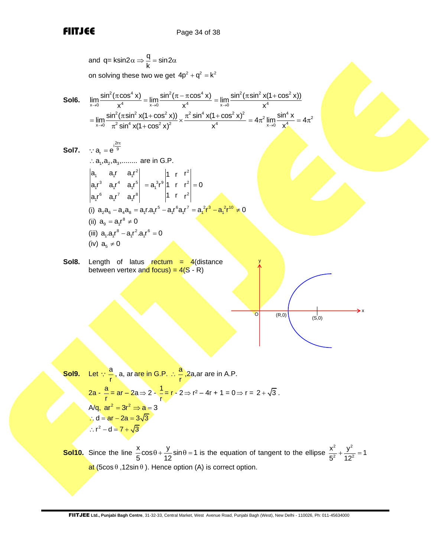and q q= ksin2 sin2 k = on solving these two we get 2 2 2 4p q k + = **Sol6.** 2 4 2 4 4 4 x 0 x 0 sin ( cos x) sin ( cos x) lim lim → → x x − = 2 2 2 <sup>4</sup> x 0 sin ( sin x(1 cos x)) lim <sup>→</sup> x + = 2 2 2 2 4 2 2 2 4 2 2 4 x 0 sin ( sin x(1 cos x)) sin x(1 cos x) lim <sup>→</sup> sin x(1 cos x) x + + = + 4 2 2 <sup>4</sup> x 0 sin x 4 lim 4 <sup>→</sup> x = = **Sol7.** 2r i <sup>9</sup> a e <sup>r</sup> = a ,a ,a ,........ 1 2 3 are in G.P. 2 1 1 1 3 4 5 1 1 1 6 7 8 1 1 1 a a r a r a r a r a r a r a r a r 2 3 9 2 1 2 1 r r a r 1 r r 0 1 r r = = (i) 5 6 7 2 3 2 10 a a a a a r.a r a r a r a r a r 0 2 6 4 8 1 1 1 1 1 1 − = − = − (ii) 8 a a r 0 9 1 = (iii) 8 2 6 a .a r a r .a r 0 1 1 1 1 − = (iv) a 0 <sup>5</sup> **Sol8.** Length of latus rectum = 4(distance between vertex and focus) = 4(S - R) (R,0) y O (S,0) x

Sol9. Let 
$$
\therefore \frac{a}{r}
$$
, a, ar are in G.P.  $\therefore \frac{a}{r}$ , 2a, ar are in A.P.  
\n
$$
2a - \frac{a}{r} = ar - 2a \Rightarrow 2 - \frac{1}{r} = r - 2 \Rightarrow r^2 - 4r + 1 = 0 \Rightarrow r = 2 + \sqrt{3}.
$$
\n
$$
A/q, ar^2 = 3r^2 \Rightarrow a = 3
$$
\n
$$
\therefore d = ar - 2a = 3\sqrt{3}
$$
\n
$$
\therefore r^2 - d = 7 + \sqrt{3}
$$

**Sol10.** Since the line  $\frac{x}{5}$ cos $\theta + \frac{y}{10}$ sin $\theta = 1$  $\frac{1}{5}$ <sup>cos $\frac{1}{12}$ </sup>  $\theta + \frac{y}{48}$  sin $\theta = 1$  is the equation of tangent to the ellipse  $\frac{x^2}{2} + \frac{y^2}{48}$  $\frac{x^2}{5^2} + \frac{y^2}{12^2} = 1$  $\mathsf{at}$  (5cos  $\theta$  ,12sin  $\theta$  ). Hence option (A) is correct option.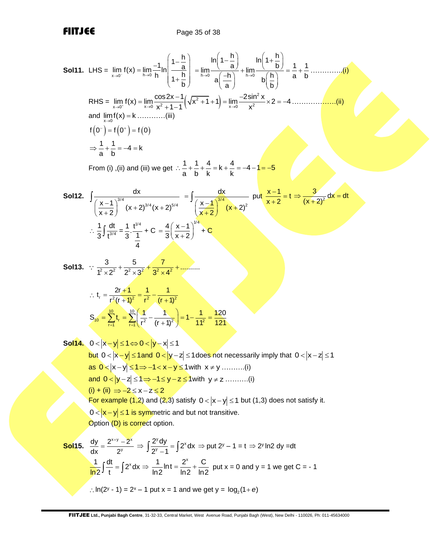**Sol11.** LHS = 
$$
\lim_{x \to 0} f(x) = \lim_{x \to 0} \frac{-1}{h} \ln \left( \frac{1 - \frac{h}{a}}{1 + \frac{h}{b}} \right) = \lim_{h \to 0} \frac{\ln \left( 1 - \frac{h}{a} \right)}{1 + \frac{h}{b}} + \lim_{h \to 0} \frac{\ln \left( 1 + \frac{h}{b} \right)}{1 + \frac{h}{b}} = \frac{1}{a} + \frac{1}{b}
$$
............(i)  
\nRHS =  $\lim_{h \to 0} f(x) = \lim_{h \to 0} \frac{\cos 2x - 1}{x^2 + 1 - 1} \left( \frac{x^2 + 1 + 1}{x^2 + 1 + 1} \right) = \lim_{h \to 0} \frac{-2 \sin^2 x}{x^2} \times 2 = -4$ ............(ii)  
\nand  $\lim_{h \to 0} f(x) = k$ ............(iii)  
\n $f(0^-) = f(0^-) = f(0)$   
\n $\Rightarrow \frac{1}{a} + \frac{1}{b} = -4 = k$   
\nFrom (i), (ii) and (iii) we get  $\therefore \frac{1}{a} + \frac{1}{b} + \frac{4}{k} = k + \frac{4}{k} = -4 - 1 = -5$   
\n**Sol12.**  $\int \frac{dx}{(x + 2)^{2/4}} = \frac{dx}{(x + 2)^{3/4}} = \int \frac{x - 1}{(x + 2)^{3/4}} = \frac{1}{x + 2} = \frac{3}{(x + 2)^2} dx = dt$   
\n $\therefore \frac{1}{3} \int \frac{dt}{t^{3/4}} = \frac{1}{3} \cdot \frac{t^{5/4}}{t} + C = \frac{4}{3} \left( \frac{x - 1}{x + 2} \right)^{3/4} + C$   
\n**Sol13.**  $\therefore \frac{3}{t^2 \times 2^t} + \frac{5}{2^2 \times 3^t} + \frac{7}{3^2 \times 4^t} + \dots$   
\n $\therefore t, = -\frac{2t + 1}{t^2(t + 1)^2} = \frac{1}{t^2} - \frac{1}{(t + 1)^2}$   
\n**Sol14.**

:  $\ln(2^y - 1) = 2^x - 1$  put  $x = 1$  and we get  $y = \log_2(1 + e)$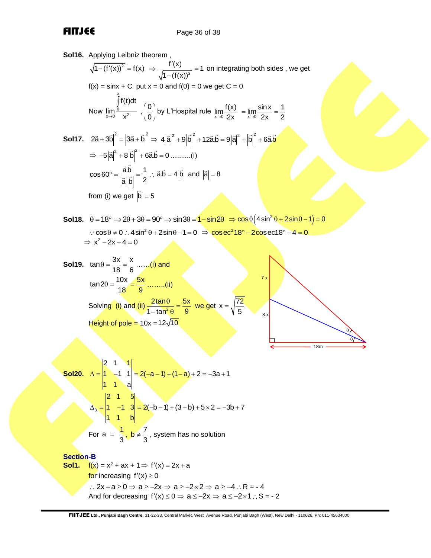**Sol16.** Applying Leibniz theorem ,  $\sqrt{1-(f'(x))^2} = f(x) \Rightarrow \frac{f'(x)}{\sqrt{1-(f(x))^2}} = 1$  $1 - (f(x))$  $\Rightarrow \frac{f'(x)}{f(x)} = 1$ − on integrating both sides , we get  $f(x) = \sin x + C$  put  $x = 0$  and  $f(0) = 0$  we get  $C = 0$ Now x  $\lim_{x\to 0} \frac{0}{x^2}$ f(t)dt lim  $\rightarrow$ 0 X J  $\Big| \Big| \frac{0}{2}$  $\left(\begin{matrix} 0 \\ 0 \end{matrix}\right)$ by L'Hospital rule  $\lim_{x\to 0} \frac{f(x)}{2x} = \lim_{x\to 0} \frac{\sin x}{2x} = \frac{1}{2}$  $=$   $\lim_{n \to \infty} \frac{\sin nx}{2} =$ **Sol17.**  $|2\vec{a}+3\vec{b}|^2 = |3\vec{a}+\vec{b}|^2 \Rightarrow 4|\vec{a}|^2 + 9|\vec{b}|^2 + 12\vec{a}\cdot\vec{b} = 9|\vec{a}|^2 + |\vec{b}|^2 + 6\vec{a}\cdot\vec{b}$ ⇒  $-5|\vec{a}|^2 + 8|\vec{b}|^2 + 6\vec{a}.\vec{b} = 0 \dots (i)$  $\cos 60^\circ = \frac{\vec{a}.\vec{b}}{|\vec{a}||^2|} = \frac{1}{2}$  $\vec{a}$   $\vec{b}$  2  $\overline{P} = \frac{a.b}{a!} = \frac{1}{2}$  :  $\overline{a}.\overline{b} = 4|\overline{b}|$  and  $|\overline{a}| = 8$ from (i) we get  $|{\sf b}| = 5$ **Sol18.**  $\theta = 18^\circ \Rightarrow 2\theta + 3\theta = 90^\circ \Rightarrow \sin 3\theta = 1 - \sin 2\theta \Rightarrow \cos \theta (4 \sin^2 \theta + 2 \sin \theta - 1) = 0$  $\cos\theta \neq 0$  :  $4\sin^2\theta + 2\sin\theta - 1 = 0$   $\Rightarrow \csc^2 18^\circ - 2\cos \sec 18^\circ - 4 = 0$  $\Rightarrow$  x<sup>2</sup> - 2x - 4 = 0 **Sol19.**  $\tan \theta = \frac{3x}{10} = \frac{x}{2}$ 18 6  $\theta = \frac{3\lambda}{4} = \frac{\lambda}{2} \dots$ . (i) and  $\tan 2\theta = \frac{10x}{10} = \frac{5x}{8}$ 18 9  $\theta = \frac{10 \lambda}{10} = \frac{3 \lambda}{2} \dots (ii)$ 7 x

5

3 x

18m

θ  $\theta$ 

Solving (i) and (ii)  $\frac{2.5018}{1.002}$  $2\tan\theta$  5x  $1 - \tan^2 \theta$  9  $\frac{\theta}{\theta}$  =  $\frac{2\tan\theta}{\tan^2\theta} = \frac{5x}{9}$  we get x =  $\sqrt{\frac{72}{5}}$ = Height of pole = 10x =12 $\sqrt{10}$ 

Sol20. 
$$
\Delta = \begin{vmatrix} 2 & 1 & 1 \\ 1 & -1 & 1 \\ 1 & 1 & a \end{vmatrix} = 2(-a-1) + (1-a) + 2 = -3a + 1
$$
  
 $\Delta_3 = \begin{vmatrix} 2 & 1 & 5 \\ 1 & -1 & 3 \\ 1 & 1 & b \end{vmatrix} = 2(-b-1) + (3-b) + 5 \times 2 = -3b + 7$   
For  $a = \frac{1}{3}, b \neq \frac{7}{3}$ , system has no solution

**Section-B Sol1.**  $f(x) = x^2 + ax + 1 \Rightarrow f'(x) = 2x + a$ for increasing  $f'(x) \geq 0$ ∴ 2x + a ≥ 0  $\Rightarrow$  a ≥ -2x  $\Rightarrow$  a ≥ -2×2  $\Rightarrow$  a ≥ -4 ∴ R = -4 And for decreasing  $f'(x) \le 0 \Rightarrow a \le -2x \Rightarrow a \le -2 \times 1$  : S = - 2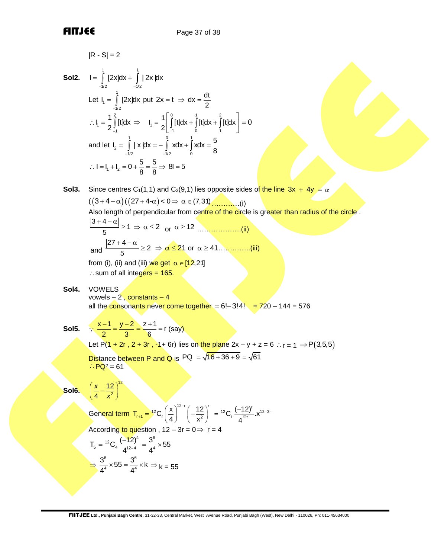R-SI = 2  
\nSoI2. I = 
$$
\int_{-1/2}^{1/2} [2x]dx + \int_{-1/2}^{1/2} [2x]dx
$$
  
\nLet I<sub>1</sub> =  $\int_{-1/2}^{1/2} [2x]dx$  put 2x = t ⇒ dx =  $\frac{dt}{2}$   
\n $\therefore I_1 = \frac{1}{2} \int_{-2}^{2/2} [1t]dx \Rightarrow I_1 = \frac{1}{2} \left[ \int_{-1}^{2} [1t]dx + \int_{1}^{1} [t]dx + \int_{1}^{2} [t]dx \right] = 0$   
\nand let I<sub>2</sub> =  $\int_{-1/2}^{1/2} [x]dx = -\int_{-1/2}^{9} xdx + \int_{2}^{1} xdx = \frac{5}{8}$   
\n $\therefore I = I_1 + I_2 = 0 + \frac{5}{8} = \frac{5}{8} \Rightarrow B = 5$   
\nSoI3. Since centres C<sub>1</sub>(1,1) and C<sub>2</sub>(9,1) lies opposite sides of the line 3x + 4y = α  
\n(3 + 4 − α) (27 + 4−α) < 0 ⇒ α ∈ (7,31)...........(i)  
\nAlso length of perpendicular from centre of the circle is greater than radius of the circle.  
\n $\frac{|3+4-α|}{5} \ge 1 \Rightarrow \alpha \le 2$  or  $\alpha \ge 12$ ...........(ii)  
\nand  $\frac{|27+4-α|}{5} \ge 2 \Rightarrow \alpha \le 21$  or  $\alpha \ge 41$ ...........(iii)  
\nfrom (i), (ii) and (iii) we get α ∈ [12,21]  
\n∴ sum of all integers = 165.  
\nSoI4. VVWELS  
\n $\therefore$  V<sub>Q</sub> = 2  
\nSol5. ∴  $\frac{x-1}{2} = \frac{y-2}{3} = \frac{z+1}{6} = f (say)$   
\nLet P(1 + 2r, 2 + 3r, 4+6r) lies on the plane 2x - y + z = 6 ∴ r = 1 ⇒ P(3,5,6)  
\nDistance between P and Q is PQ =  $\sqrt{16+36+9} = \sqrt{61}$   
\nSoI6.  $(\frac{x}{4} - \frac{12$